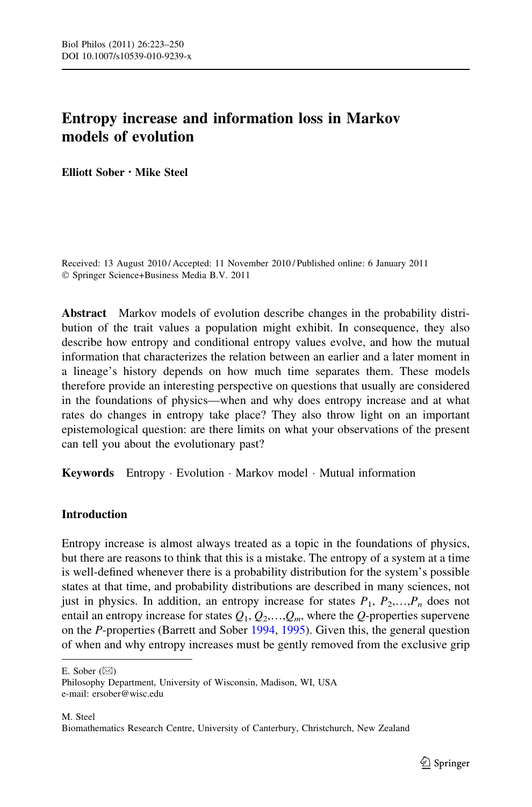# Entropy increase and information loss in Markov models of evolution

Elliott Sober • Mike Steel

Received: 13 August 2010 / Accepted: 11 November 2010 / Published online: 6 January 2011 - Springer Science+Business Media B.V. 2011

Abstract Markov models of evolution describe changes in the probability distribution of the trait values a population might exhibit. In consequence, they also describe how entropy and conditional entropy values evolve, and how the mutual information that characterizes the relation between an earlier and a later moment in a lineage's history depends on how much time separates them. These models therefore provide an interesting perspective on questions that usually are considered in the foundations of physics—when and why does entropy increase and at what rates do changes in entropy take place? They also throw light on an important epistemological question: are there limits on what your observations of the present can tell you about the evolutionary past?

Keywords Entropy · Evolution · Markov model · Mutual information

## **Introduction**

Entropy increase is almost always treated as a topic in the foundations of physics, but there are reasons to think that this is a mistake. The entropy of a system at a time is well-defined whenever there is a probability distribution for the system's possible states at that time, and probability distributions are described in many sciences, not just in physics. In addition, an entropy increase for states  $P_1$ ,  $P_2$ ,..., $P_n$  does not entail an entropy increase for states  $Q_1, Q_2, \ldots, Q_m$ , where the Q-properties supervene on the P-properties (Barrett and Sober [1994](#page-27-0), [1995](#page-27-0)). Given this, the general question of when and why entropy increases must be gently removed from the exclusive grip

E. Sober  $(\boxtimes)$ 

Philosophy Department, University of Wisconsin, Madison, WI, USA e-mail: ersober@wisc.edu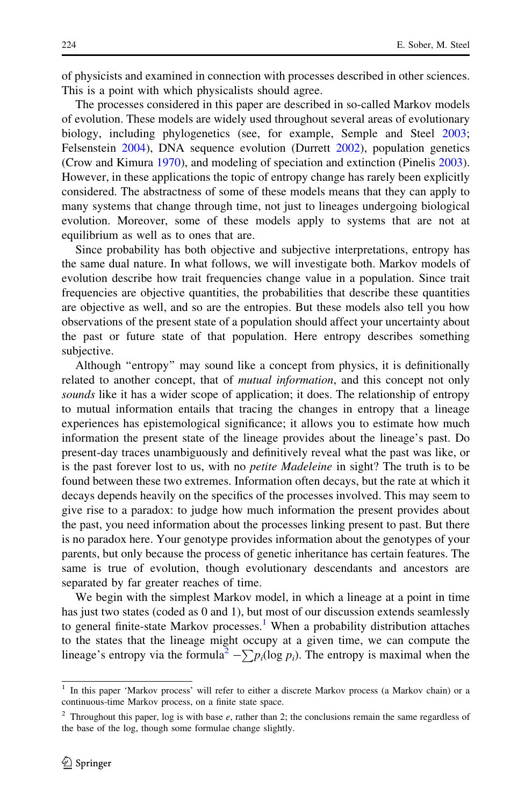of physicists and examined in connection with processes described in other sciences. This is a point with which physicalists should agree.

The processes considered in this paper are described in so-called Markov models of evolution. These models are widely used throughout several areas of evolutionary biology, including phylogenetics (see, for example, Semple and Steel [2003;](#page-27-0) Felsenstein [2004\)](#page-27-0), DNA sequence evolution (Durrett [2002\)](#page-27-0), population genetics (Crow and Kimura [1970](#page-27-0)), and modeling of speciation and extinction (Pinelis [2003\)](#page-27-0). However, in these applications the topic of entropy change has rarely been explicitly considered. The abstractness of some of these models means that they can apply to many systems that change through time, not just to lineages undergoing biological evolution. Moreover, some of these models apply to systems that are not at equilibrium as well as to ones that are.

Since probability has both objective and subjective interpretations, entropy has the same dual nature. In what follows, we will investigate both. Markov models of evolution describe how trait frequencies change value in a population. Since trait frequencies are objective quantities, the probabilities that describe these quantities are objective as well, and so are the entropies. But these models also tell you how observations of the present state of a population should affect your uncertainty about the past or future state of that population. Here entropy describes something subjective.

Although ''entropy'' may sound like a concept from physics, it is definitionally related to another concept, that of *mutual information*, and this concept not only sounds like it has a wider scope of application; it does. The relationship of entropy to mutual information entails that tracing the changes in entropy that a lineage experiences has epistemological significance; it allows you to estimate how much information the present state of the lineage provides about the lineage's past. Do present-day traces unambiguously and definitively reveal what the past was like, or is the past forever lost to us, with no petite Madeleine in sight? The truth is to be found between these two extremes. Information often decays, but the rate at which it decays depends heavily on the specifics of the processes involved. This may seem to give rise to a paradox: to judge how much information the present provides about the past, you need information about the processes linking present to past. But there is no paradox here. Your genotype provides information about the genotypes of your parents, but only because the process of genetic inheritance has certain features. The same is true of evolution, though evolutionary descendants and ancestors are separated by far greater reaches of time.

We begin with the simplest Markov model, in which a lineage at a point in time has just two states (coded as 0 and 1), but most of our discussion extends seamlessly to general finite-state Markov processes.<sup>1</sup> When a probability distribution attaches to the states that the lineage might occupy at a given time, we can compute the lineage's entropy via the formula<sup>2</sup>  $-\sum p_i(\log p_i)$ . The entropy is maximal when the

<sup>&</sup>lt;sup>1</sup> In this paper 'Markov process' will refer to either a discrete Markov process (a Markov chain) or a continuous-time Markov process, on a finite state space.

 $2$  Throughout this paper, log is with base  $e$ , rather than 2; the conclusions remain the same regardless of the base of the log, though some formulae change slightly.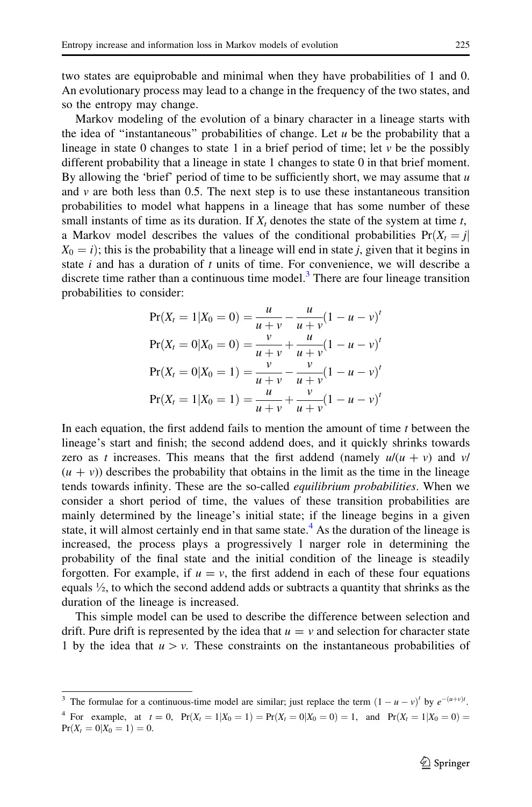two states are equiprobable and minimal when they have probabilities of 1 and 0. An evolutionary process may lead to a change in the frequency of the two states, and so the entropy may change.

Markov modeling of the evolution of a binary character in a lineage starts with the idea of "instantaneous" probabilities of change. Let  $u$  be the probability that a lineage in state 0 changes to state 1 in a brief period of time; let  $\nu$  be the possibly different probability that a lineage in state 1 changes to state 0 in that brief moment. By allowing the 'brief' period of time to be sufficiently short, we may assume that  $u$ and  $\nu$  are both less than 0.5. The next step is to use these instantaneous transition probabilities to model what happens in a lineage that has some number of these small instants of time as its duration. If  $X_t$  denotes the state of the system at time t, a Markov model describes the values of the conditional probabilities  $Pr(X_t = j)$  $X_0 = i$ ; this is the probability that a lineage will end in state j, given that it begins in state  $i$  and has a duration of  $t$  units of time. For convenience, we will describe a discrete time rather than a continuous time model.<sup>3</sup> There are four lineage transition probabilities to consider:

$$
Pr(X_t = 1 | X_0 = 0) = \frac{u}{u+v} - \frac{u}{u+v} (1 - u - v)^t
$$
  
\n
$$
Pr(X_t = 0 | X_0 = 0) = \frac{v}{u+v} + \frac{u}{u+v} (1 - u - v)^t
$$
  
\n
$$
Pr(X_t = 0 | X_0 = 1) = \frac{v}{u+v} - \frac{v}{u+v} (1 - u - v)^t
$$
  
\n
$$
Pr(X_t = 1 | X_0 = 1) = \frac{u}{u+v} + \frac{v}{u+v} (1 - u - v)^t
$$

In each equation, the first addend fails to mention the amount of time t between the lineage's start and finish; the second addend does, and it quickly shrinks towards zero as t increases. This means that the first addend (namely  $u/(u + v)$ ) and v  $(u + v)$  describes the probability that obtains in the limit as the time in the lineage tends towards infinity. These are the so-called *equilibrium probabilities*. When we consider a short period of time, the values of these transition probabilities are mainly determined by the lineage's initial state; if the lineage begins in a given state, it will almost certainly end in that same state.<sup>4</sup> As the duration of the lineage is increased, the process plays a progressively l narger role in determining the probability of the final state and the initial condition of the lineage is steadily forgotten. For example, if  $u = v$ , the first addend in each of these four equations equals  $\frac{1}{2}$ , to which the second addend adds or subtracts a quantity that shrinks as the duration of the lineage is increased.

This simple model can be used to describe the difference between selection and drift. Pure drift is represented by the idea that  $u = v$  and selection for character state 1 by the idea that  $u > v$ . These constraints on the instantaneous probabilities of

<sup>&</sup>lt;sup>3</sup> The formulae for a continuous-time model are similar; just replace the term  $(1 - u - v)^t$  by  $e^{-(u+v)t}$ . <sup>4</sup> For example, at  $t = 0$ ,  $Pr(X_t = 1 | X_0 = 1) = Pr(X_t = 0 | X_0 = 0) = 1$ , and  $Pr(X_t = 1 | X_0 = 0) =$  $Pr(X_t = 0 | X_0 = 1) = 0.$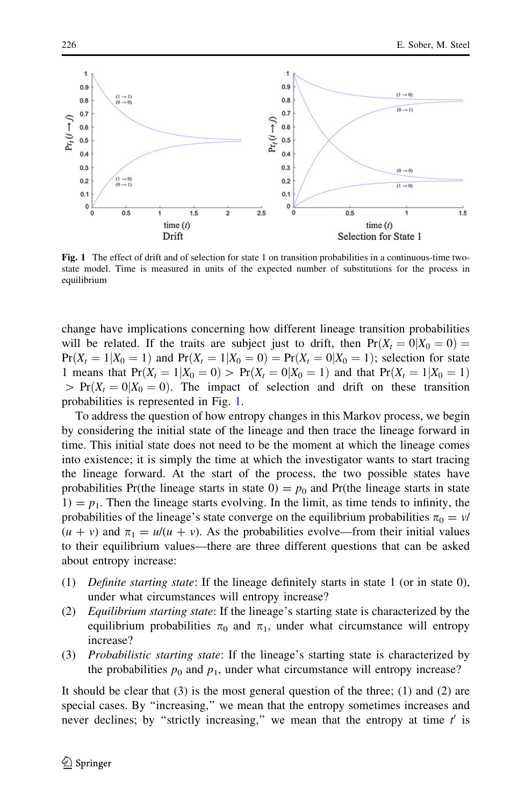<span id="page-3-0"></span>

Fig. 1 The effect of drift and of selection for state 1 on transition probabilities in a continuous-time twostate model. Time is measured in units of the expected number of substitutions for the process in equilibrium

change have implications concerning how different lineage transition probabilities will be related. If the traits are subject just to drift, then  $Pr(X_t = 0|X_0 = 0)$  =  $Pr(X_t = 1 | X_0 = 1)$  and  $Pr(X_t = 1 | X_0 = 0) = Pr(X_t = 0 | X_0 = 1)$ ; selection for state 1 means that  $Pr(X_t = 1 | X_0 = 0) > Pr(X_t = 0 | X_0 = 1)$  and that  $Pr(X_t = 1 | X_0 = 1)$  $\sum_{k} P_{\text{r}}(X_t = 0 | X_0 = 0)$ . The impact of selection and drift on these transition probabilities is represented in Fig. 1.

To address the question of how entropy changes in this Markov process, we begin by considering the initial state of the lineage and then trace the lineage forward in time. This initial state does not need to be the moment at which the lineage comes into existence; it is simply the time at which the investigator wants to start tracing the lineage forward. At the start of the process, the two possible states have probabilities Pr(the lineage starts in state  $0 = p_0$  and Pr(the lineage starts in state  $1$ ) =  $p_1$ . Then the lineage starts evolving. In the limit, as time tends to infinity, the probabilities of the lineage's state converge on the equilibrium probabilities  $\pi_0 = v/$  $(u + v)$  and  $\pi_1 = u/(u + v)$ . As the probabilities evolve—from their initial values to their equilibrium values—there are three different questions that can be asked about entropy increase:

- (1) Definite starting state: If the lineage definitely starts in state 1 (or in state 0), under what circumstances will entropy increase?
- (2) Equilibrium starting state: If the lineage's starting state is characterized by the equilibrium probabilities  $\pi_0$  and  $\pi_1$ , under what circumstance will entropy increase?
- (3) Probabilistic starting state: If the lineage's starting state is characterized by the probabilities  $p_0$  and  $p_1$ , under what circumstance will entropy increase?

It should be clear that  $(3)$  is the most general question of the three;  $(1)$  and  $(2)$  are special cases. By ''increasing,'' we mean that the entropy sometimes increases and never declines; by "strictly increasing," we mean that the entropy at time  $t'$  is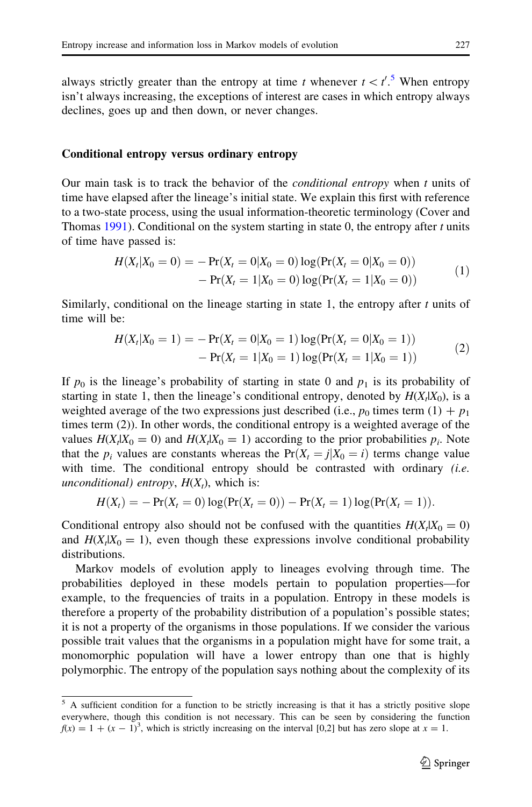always strictly greater than the entropy at time t whenever  $t < t'$ .<sup>5</sup> When entropy isn't always increasing, the exceptions of interest are cases in which entropy always declines, goes up and then down, or never changes.

## Conditional entropy versus ordinary entropy

Our main task is to track the behavior of the *conditional entropy* when t units of time have elapsed after the lineage's initial state. We explain this first with reference to a two-state process, using the usual information-theoretic terminology (Cover and Thomas [1991\)](#page-27-0). Conditional on the system starting in state 0, the entropy after  $t$  units of time have passed is:

$$
H(X_t|X_0=0) = -\Pr(X_t=0|X_0=0) \log(\Pr(X_t=0|X_0=0)) - \Pr(X_t=1|X_0=0) \log(\Pr(X_t=1|X_0=0))
$$
\n(1)

Similarly, conditional on the lineage starting in state 1, the entropy after  $t$  units of time will be:

$$
H(X_t|X_0=1) = -\Pr(X_t=0|X_0=1)\log(\Pr(X_t=0|X_0=1)) - \Pr(X_t=1|X_0=1)\log(\Pr(X_t=1|X_0=1))
$$
\n(2)

If  $p_0$  is the lineage's probability of starting in state 0 and  $p_1$  is its probability of starting in state 1, then the lineage's conditional entropy, denoted by  $H(X_t|X_0)$ , is a weighted average of the two expressions just described (i.e.,  $p_0$  times term (1) +  $p_1$ times term (2)). In other words, the conditional entropy is a weighted average of the values  $H(X_t|X_0 = 0)$  and  $H(X_t|X_0 = 1)$  according to the prior probabilities  $p_i$ . Note that the  $p_i$  values are constants whereas the  $Pr(X_t = j | X_0 = i)$  terms change value with time. The conditional entropy should be contrasted with ordinary  $(i.e.$ unconditional) entropy,  $H(X_t)$ , which is:

$$
H(X_t) = -\Pr(X_t = 0) \log(\Pr(X_t = 0)) - \Pr(X_t = 1) \log(\Pr(X_t = 1)).
$$

Conditional entropy also should not be confused with the quantities  $H(X_t|X_0 = 0)$ and  $H(X_t|X_0 = 1)$ , even though these expressions involve conditional probability distributions.

Markov models of evolution apply to lineages evolving through time. The probabilities deployed in these models pertain to population properties—for example, to the frequencies of traits in a population. Entropy in these models is therefore a property of the probability distribution of a population's possible states; it is not a property of the organisms in those populations. If we consider the various possible trait values that the organisms in a population might have for some trait, a monomorphic population will have a lower entropy than one that is highly polymorphic. The entropy of the population says nothing about the complexity of its

 $\overline{5}$  A sufficient condition for a function to be strictly increasing is that it has a strictly positive slope everywhere, though this condition is not necessary. This can be seen by considering the function  $f(x) = 1 + (x - 1)^3$ , which is strictly increasing on the interval [0,2] but has zero slope at  $x = 1$ .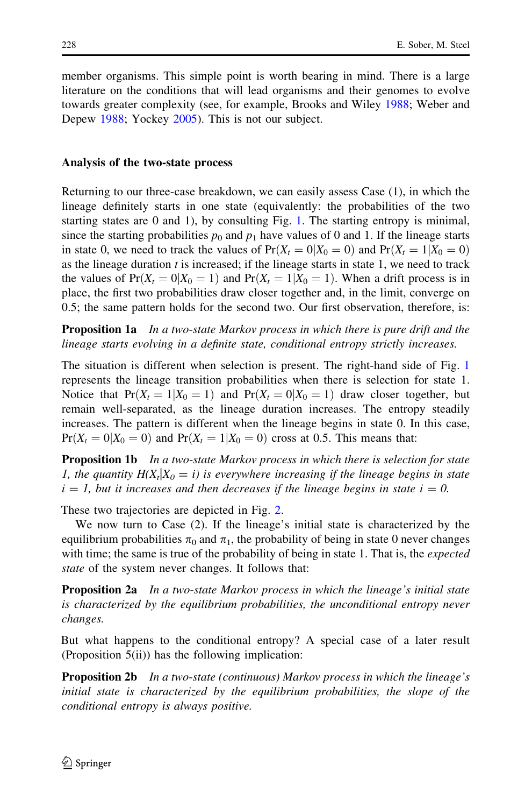member organisms. This simple point is worth bearing in mind. There is a large literature on the conditions that will lead organisms and their genomes to evolve towards greater complexity (see, for example, Brooks and Wiley [1988](#page-27-0); Weber and Depew [1988;](#page-27-0) Yockey [2005](#page-27-0)). This is not our subject.

## Analysis of the two-state process

Returning to our three-case breakdown, we can easily assess Case (1), in which the lineage definitely starts in one state (equivalently: the probabilities of the two starting states are 0 and 1), by consulting Fig. [1.](#page-3-0) The starting entropy is minimal, since the starting probabilities  $p_0$  and  $p_1$  have values of 0 and 1. If the lineage starts in state 0, we need to track the values of  $Pr(X_t = 0 | X_0 = 0)$  and  $Pr(X_t = 1 | X_0 = 0)$ as the lineage duration  $t$  is increased; if the lineage starts in state 1, we need to track the values of  $Pr(X_t = 0 | X_0 = 1)$  and  $Pr(X_t = 1 | X_0 = 1)$ . When a drift process is in place, the first two probabilities draw closer together and, in the limit, converge on 0.5; the same pattern holds for the second two. Our first observation, therefore, is:

**Proposition 1a** In a two-state Markov process in which there is pure drift and the lineage starts evolving in a definite state, conditional entropy strictly increases.

The situation is different when selection is present. The right-hand side of Fig. [1](#page-3-0) represents the lineage transition probabilities when there is selection for state 1. Notice that  $Pr(X_t = 1 | X_0 = 1)$  and  $Pr(X_t = 0 | X_0 = 1)$  draw closer together, but remain well-separated, as the lineage duration increases. The entropy steadily increases. The pattern is different when the lineage begins in state 0. In this case,  $Pr(X_t = 0|X_0 = 0)$  and  $Pr(X_t = 1|X_0 = 0)$  cross at 0.5. This means that:

**Proposition 1b** In a two-state Markov process in which there is selection for state 1, the quantity  $H(X_t|X_0 = i)$  is everywhere increasing if the lineage begins in state  $i = 1$ , but it increases and then decreases if the lineage begins in state  $i = 0$ .

These two trajectories are depicted in Fig. [2](#page-6-0).

We now turn to Case (2). If the lineage's initial state is characterized by the equilibrium probabilities  $\pi_0$  and  $\pi_1$ , the probability of being in state 0 never changes with time; the same is true of the probability of being in state 1. That is, the *expected* state of the system never changes. It follows that:

**Proposition 2a** In a two-state Markov process in which the lineage's initial state is characterized by the equilibrium probabilities, the unconditional entropy never changes.

But what happens to the conditional entropy? A special case of a later result (Proposition 5(ii)) has the following implication:

**Proposition 2b** In a two-state (continuous) Markov process in which the lineage's initial state is characterized by the equilibrium probabilities, the slope of the conditional entropy is always positive.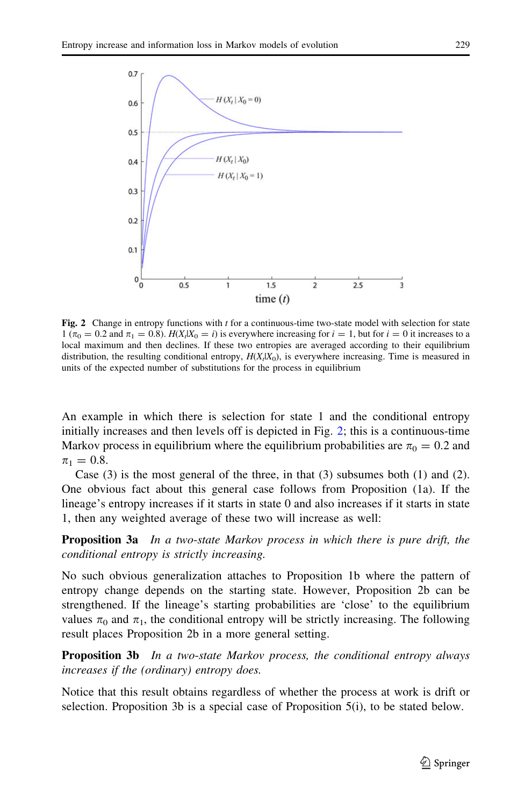<span id="page-6-0"></span>

Fig. 2 Change in entropy functions with t for a continuous-time two-state model with selection for state  $1 (\pi_0 = 0.2$  and  $\pi_1 = 0.8$ ).  $H(X_t|X_0 = i)$  is everywhere increasing for  $i = 1$ , but for  $i = 0$  it increases to a local maximum and then declines. If these two entropies are averaged according to their equilibrium distribution, the resulting conditional entropy,  $H(X_t|X_0)$ , is everywhere increasing. Time is measured in units of the expected number of substitutions for the process in equilibrium

An example in which there is selection for state 1 and the conditional entropy initially increases and then levels off is depicted in Fig. 2; this is a continuous-time Markov process in equilibrium where the equilibrium probabilities are  $\pi_0 = 0.2$  and  $\pi_1 = 0.8$ .

Case  $(3)$  is the most general of the three, in that  $(3)$  subsumes both  $(1)$  and  $(2)$ . One obvious fact about this general case follows from Proposition (1a). If the lineage's entropy increases if it starts in state 0 and also increases if it starts in state 1, then any weighted average of these two will increase as well:

**Proposition 3a** In a two-state Markov process in which there is pure drift, the conditional entropy is strictly increasing.

No such obvious generalization attaches to Proposition 1b where the pattern of entropy change depends on the starting state. However, Proposition 2b can be strengthened. If the lineage's starting probabilities are 'close' to the equilibrium values  $\pi_0$  and  $\pi_1$ , the conditional entropy will be strictly increasing. The following result places Proposition 2b in a more general setting.

**Proposition 3b** In a two-state Markov process, the conditional entropy always increases if the (ordinary) entropy does.

Notice that this result obtains regardless of whether the process at work is drift or selection. Proposition 3b is a special case of Proposition 5(i), to be stated below.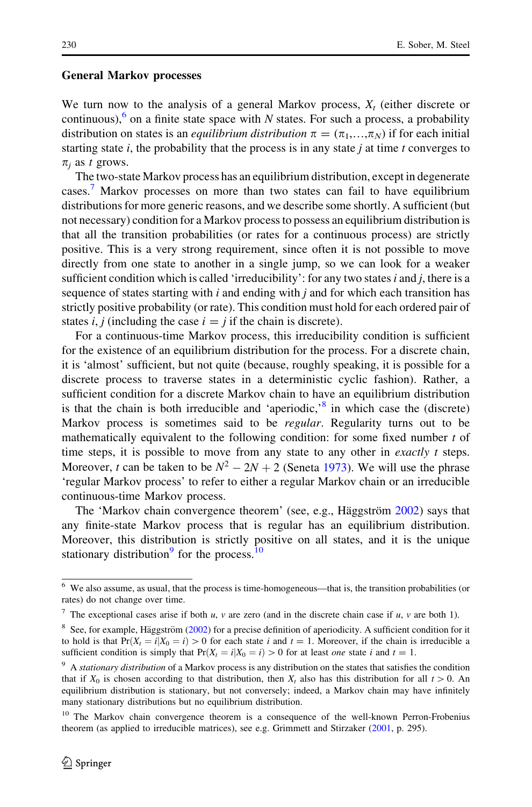#### General Markov processes

We turn now to the analysis of a general Markov process,  $X_t$  (either discrete or continuous),<sup>6</sup> on a finite state space with N states. For such a process, a probability distribution on states is an *equilibrium distribution*  $\pi = (\pi_1, \dots, \pi_N)$  if for each initial starting state i, the probability that the process is in any state j at time t converges to  $\pi_i$  as t grows.

The two-state Markov process has an equilibrium distribution, except in degenerate cases.<sup>7</sup> Markov processes on more than two states can fail to have equilibrium distributions for more generic reasons, and we describe some shortly. A sufficient (but not necessary) condition for a Markov process to possess an equilibrium distribution is that all the transition probabilities (or rates for a continuous process) are strictly positive. This is a very strong requirement, since often it is not possible to move directly from one state to another in a single jump, so we can look for a weaker sufficient condition which is called 'irreducibility': for any two states  $i$  and  $j$ , there is a sequence of states starting with  $i$  and ending with  $j$  and for which each transition has strictly positive probability (or rate). This condition must hold for each ordered pair of states *i*, *j* (including the case  $i = j$  if the chain is discrete).

For a continuous-time Markov process, this irreducibility condition is sufficient for the existence of an equilibrium distribution for the process. For a discrete chain, it is 'almost' sufficient, but not quite (because, roughly speaking, it is possible for a discrete process to traverse states in a deterministic cyclic fashion). Rather, a sufficient condition for a discrete Markov chain to have an equilibrium distribution is that the chain is both irreducible and 'aperiodic,<sup>8</sup> in which case the (discrete) Markov process is sometimes said to be *regular*. Regularity turns out to be mathematically equivalent to the following condition: for some fixed number  $t$  of time steps, it is possible to move from any state to any other in *exactly t* steps. Moreover, t can be taken to be  $N^2 - 2N + 2$  (Seneta [1973\)](#page-27-0). We will use the phrase 'regular Markov process' to refer to either a regular Markov chain or an irreducible continuous-time Markov process.

The 'Markov chain convergence theorem' (see, e.g., Häggström [2002\)](#page-27-0) says that any finite-state Markov process that is regular has an equilibrium distribution. Moreover, this distribution is strictly positive on all states, and it is the unique stationary distribution $9$  for the process.<sup>10</sup>

 $6\,$  We also assume, as usual, that the process is time-homogeneous—that is, the transition probabilities (or rates) do not change over time.

<sup>&</sup>lt;sup>7</sup> The exceptional cases arise if both u, v are zero (and in the discrete chain case if u, v are both 1).

 $8$  See, for example, Häggström ([2002\)](#page-27-0) for a precise definition of aperiodicity. A sufficient condition for it to hold is that  $Pr(X_t = i | X_0 = i) > 0$  for each state i and  $t = 1$ . Moreover, if the chain is irreducible a sufficient condition is simply that  $Pr(X_t = i | X_0 = i) > 0$  for at least *one* state i and  $t = 1$ .

 $9<sup>9</sup>$  A stationary distribution of a Markov process is any distribution on the states that satisfies the condition that if  $X_0$  is chosen according to that distribution, then  $X_t$  also has this distribution for all  $t > 0$ . An equilibrium distribution is stationary, but not conversely; indeed, a Markov chain may have infinitely many stationary distributions but no equilibrium distribution.

<sup>&</sup>lt;sup>10</sup> The Markov chain convergence theorem is a consequence of the well-known Perron-Frobenius theorem (as applied to irreducible matrices), see e.g. Grimmett and Stirzaker [\(2001](#page-27-0), p. 295).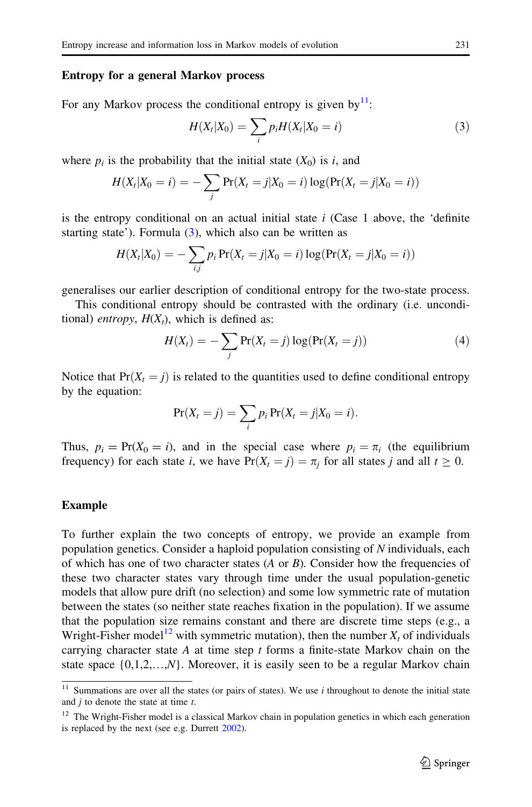## Entropy for a general Markov process

For any Markov process the conditional entropy is given by  $1!$ :

$$
H(X_t|X_0) = \sum_i p_i H(X_t|X_0 = i)
$$
\n(3)

where  $p_i$  is the probability that the initial state  $(X_0)$  is i, and

$$
H(X_t|X_0=i) = -\sum_j \Pr(X_t=j|X_0=i) \log(\Pr(X_t=j|X_0=i))
$$

is the entropy conditional on an actual initial state  $i$  (Case 1 above, the 'definite starting state'). Formula  $(3)$ , which also can be written as

$$
H(X_t|X_0) = -\sum_{i,j} p_i \Pr(X_t = j | X_0 = i) \log(\Pr(X_t = j | X_0 = i))
$$

generalises our earlier description of conditional entropy for the two-state process.

This conditional entropy should be contrasted with the ordinary (i.e. unconditional) *entropy*,  $H(X_t)$ , which is defined as:

$$
H(X_t) = -\sum_j \Pr(X_t = j) \log(\Pr(X_t = j))
$$
\n(4)

Notice that  $Pr(X_t = j)$  is related to the quantities used to define conditional entropy by the equation:

$$
Pr(X_t = j) = \sum_i p_i Pr(X_t = j | X_0 = i).
$$

Thus,  $p_i = \Pr(X_0 = i)$ , and in the special case where  $p_i = \pi_i$  (the equilibrium frequency) for each state i, we have  $Pr(X_t = j) = \pi_i$  for all states j and all  $t \ge 0$ .

## Example

To further explain the two concepts of entropy, we provide an example from population genetics. Consider a haploid population consisting of N individuals, each of which has one of two character states  $(A \text{ or } B)$ . Consider how the frequencies of these two character states vary through time under the usual population-genetic models that allow pure drift (no selection) and some low symmetric rate of mutation between the states (so neither state reaches fixation in the population). If we assume that the population size remains constant and there are discrete time steps (e.g., a Wright-Fisher model<sup>12</sup> with symmetric mutation), then the number  $X_t$  of individuals carrying character state  $A$  at time step  $t$  forms a finite-state Markov chain on the state space  $\{0,1,2,...,N\}$ . Moreover, it is easily seen to be a regular Markov chain

 $11$  Summations are over all the states (or pairs of states). We use i throughout to denote the initial state and  $j$  to denote the state at time  $t$ .

<sup>&</sup>lt;sup>12</sup> The Wright-Fisher model is a classical Markov chain in population genetics in which each generation is replaced by the next (see e.g. Durrett [2002](#page-27-0)).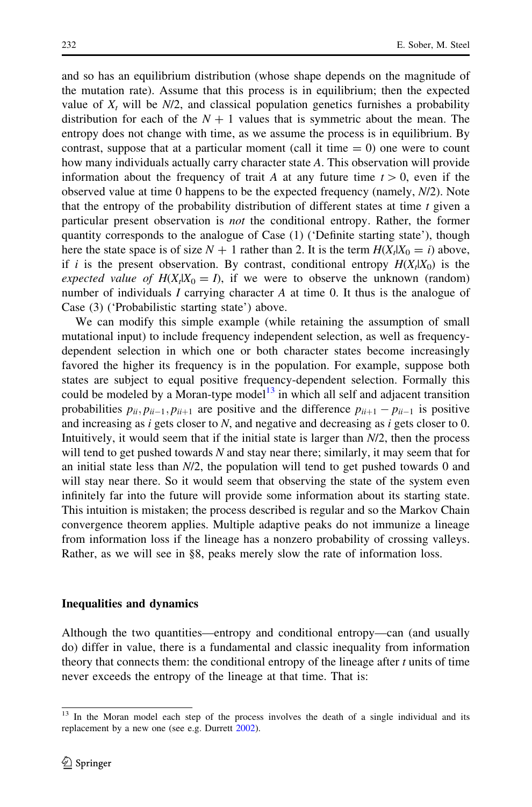<span id="page-9-0"></span>and so has an equilibrium distribution (whose shape depends on the magnitude of the mutation rate). Assume that this process is in equilibrium; then the expected value of  $X_t$  will be  $N/2$ , and classical population genetics furnishes a probability distribution for each of the  $N + 1$  values that is symmetric about the mean. The entropy does not change with time, as we assume the process is in equilibrium. By contrast, suppose that at a particular moment (call it time  $= 0$ ) one were to count how many individuals actually carry character state A. This observation will provide information about the frequency of trait A at any future time  $t > 0$ , even if the observed value at time 0 happens to be the expected frequency (namely, N/2). Note that the entropy of the probability distribution of different states at time  $t$  given a particular present observation is not the conditional entropy. Rather, the former quantity corresponds to the analogue of Case (1) ('Definite starting state'), though here the state space is of size  $N + 1$  rather than 2. It is the term  $H(X_1|X_0 = i)$  above, if i is the present observation. By contrast, conditional entropy  $H(X_t|X_0)$  is the expected value of  $H(X_t|X_0 = I)$ , if we were to observe the unknown (random) number of individuals I carrying character A at time 0. It thus is the analogue of Case (3) ('Probabilistic starting state') above.

We can modify this simple example (while retaining the assumption of small mutational input) to include frequency independent selection, as well as frequencydependent selection in which one or both character states become increasingly favored the higher its frequency is in the population. For example, suppose both states are subject to equal positive frequency-dependent selection. Formally this could be modeled by a Moran-type model<sup>13</sup> in which all self and adjacent transition probabilities  $p_{ii}, p_{ii-1}, p_{ii+1}$  are positive and the difference  $p_{ii+1} - p_{ii-1}$  is positive and increasing as i gets closer to  $N$ , and negative and decreasing as i gets closer to 0. Intuitively, it would seem that if the initial state is larger than N/2, then the process will tend to get pushed towards  $N$  and stay near there; similarly, it may seem that for an initial state less than  $N/2$ , the population will tend to get pushed towards 0 and will stay near there. So it would seem that observing the state of the system even infinitely far into the future will provide some information about its starting state. This intuition is mistaken; the process described is regular and so the Markov Chain convergence theorem applies. Multiple adaptive peaks do not immunize a lineage from information loss if the lineage has a nonzero probability of crossing valleys. Rather, as we will see in §8, peaks merely slow the rate of information loss.

#### Inequalities and dynamics

Although the two quantities—entropy and conditional entropy—can (and usually do) differ in value, there is a fundamental and classic inequality from information theory that connects them: the conditional entropy of the lineage after  $t$  units of time never exceeds the entropy of the lineage at that time. That is:

<sup>&</sup>lt;sup>13</sup> In the Moran model each step of the process involves the death of a single individual and its replacement by a new one (see e.g. Durrett [2002\)](#page-27-0).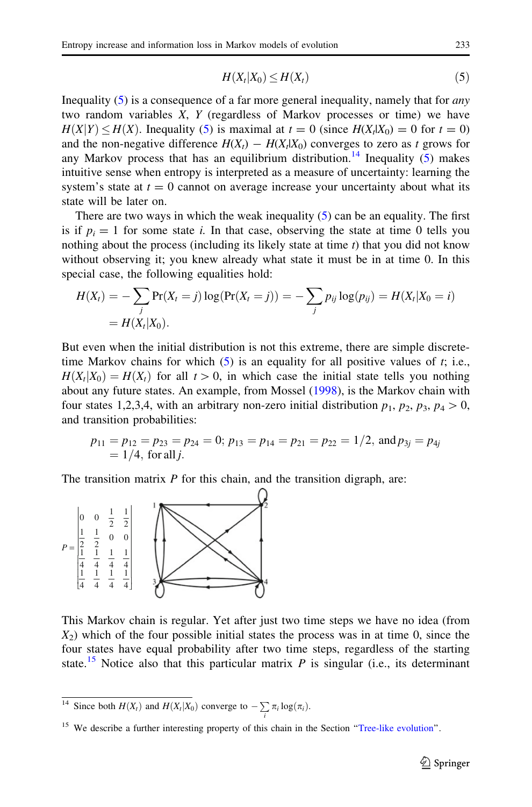$$
H(X_t|X_0) \le H(X_t) \tag{5}
$$

Inequality  $(5)$  $(5)$  is a consequence of a far more general inequality, namely that for *any* two random variables X, Y (regardless of Markov processes or time) we have  $H(X|Y) \le H(X)$ . Inequality ([5\)](#page-9-0) is maximal at  $t = 0$  (since  $H(X_t|X_0) = 0$  for  $t = 0$ ) and the non-negative difference  $H(X_t) - H(X_t|X_0)$  converges to zero as t grows for any Markov process that has an equilibrium distribution.<sup>14</sup> Inequality [\(5](#page-9-0)) makes intuitive sense when entropy is interpreted as a measure of uncertainty: learning the system's state at  $t = 0$  cannot on average increase your uncertainty about what its state will be later on.

There are two ways in which the weak inequality ([5\)](#page-9-0) can be an equality. The first is if  $p_i = 1$  for some state i. In that case, observing the state at time 0 tells you nothing about the process (including its likely state at time  $t$ ) that you did not know without observing it; you knew already what state it must be in at time 0. In this special case, the following equalities hold:

$$
H(X_t) = -\sum_j \Pr(X_t = j) \log(\Pr(X_t = j)) = -\sum_j p_{ij} \log(p_{ij}) = H(X_t|X_0 = i)
$$
  
=  $H(X_t|X_0)$ .

But even when the initial distribution is not this extreme, there are simple discretetime Markov chains for which  $(5)$  $(5)$  is an equality for all positive values of t; i.e.,  $H(X_t|X_0) = H(X_t)$  for all  $t > 0$ , in which case the initial state tells you nothing about any future states. An example, from Mossel ([1998\)](#page-27-0), is the Markov chain with four states 1,2,3,4, with an arbitrary non-zero initial distribution  $p_1$ ,  $p_2$ ,  $p_3$ ,  $p_4 > 0$ , and transition probabilities:

$$
p_{11} = p_{12} = p_{23} = p_{24} = 0
$$
;  $p_{13} = p_{14} = p_{21} = p_{22} = 1/2$ , and  $p_{3j} = p_{4j} = 1/4$ , for all j.

The transition matrix  $P$  for this chain, and the transition digraph, are:



This Markov chain is regular. Yet after just two time steps we have no idea (from  $X_2$ ) which of the four possible initial states the process was in at time 0, since the four states have equal probability after two time steps, regardless of the starting state.<sup>15</sup> Notice also that this particular matrix  $P$  is singular (i.e., its determinant

<sup>&</sup>lt;sup>14</sup> Since both  $H(X_t)$  and  $H(X_t|X_0)$  converge to  $-\sum_i \pi_i \log(\pi_i)$ .

<sup>&</sup>lt;sup>15</sup> We describe a further interesting property of this chain in the Section "Tree-like evolution".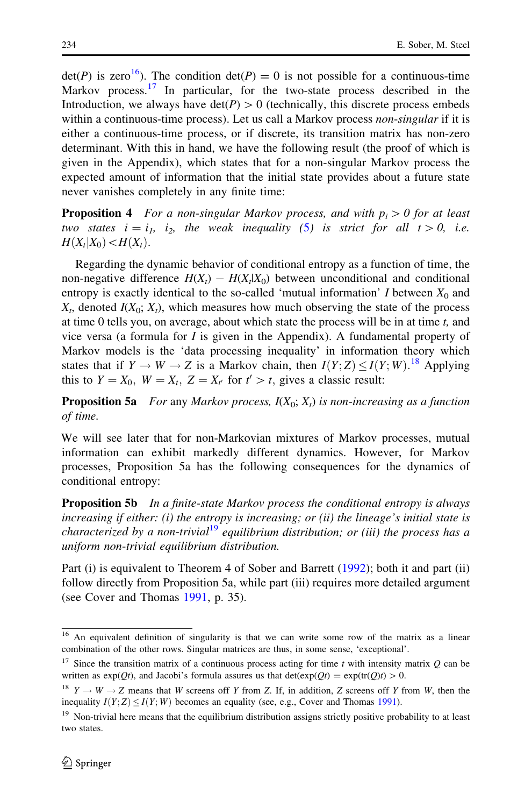$det(P)$  is zero<sup>16</sup>). The condition  $det(P) = 0$  is not possible for a continuous-time Markov process.<sup>17</sup> In particular, for the two-state process described in the Introduction, we always have  $det(P) > 0$  (technically, this discrete process embeds within a continuous-time process). Let us call a Markov process *non-singular* if it is either a continuous-time process, or if discrete, its transition matrix has non-zero determinant. With this in hand, we have the following result (the proof of which is given in the Appendix), which states that for a non-singular Markov process the expected amount of information that the initial state provides about a future state never vanishes completely in any finite time:

**Proposition 4** For a non-singular Markov process, and with  $p_i > 0$  for at least two states  $i = i_1$ , i<sub>2</sub>, the weak inequality ([5](#page-9-0)) is strict for all  $t > 0$ , i.e.  $H(X_t|X_0) < H(X_t)$ .

Regarding the dynamic behavior of conditional entropy as a function of time, the non-negative difference  $H(X_t) - H(X_t|X_0)$  between unconditional and conditional entropy is exactly identical to the so-called 'mutual information' I between  $X_0$  and  $X_t$ , denoted  $I(X_0; X_t)$ , which measures how much observing the state of the process at time 0 tells you, on average, about which state the process will be in at time  $t$ , and vice versa (a formula for  $I$  is given in the Appendix). A fundamental property of Markov models is the 'data processing inequality' in information theory which states that if  $Y \to W \to Z$  is a Markov chain, then  $I(Y; Z) \leq I(Y; W)$ .<sup>18</sup> Applying this to  $Y = X_0$ ,  $W = X_t$ ,  $Z = X_{t'}$  for  $t' > t$ , gives a classic result:

**Proposition 5a** For any Markov process,  $I(X_0; X_t)$  is non-increasing as a function of time.

We will see later that for non-Markovian mixtures of Markov processes, mutual information can exhibit markedly different dynamics. However, for Markov processes, Proposition 5a has the following consequences for the dynamics of conditional entropy:

**Proposition 5b** In a finite-state Markov process the conditional entropy is always increasing if either: (i) the entropy is increasing; or (ii) the lineage's initial state is characterized by a non-trivial<sup>19</sup> equilibrium distribution; or (iii) the process has a uniform non-trivial equilibrium distribution.

Part (i) is equivalent to Theorem 4 of Sober and Barrett [\(1992](#page-27-0)); both it and part (ii) follow directly from Proposition 5a, while part (iii) requires more detailed argument (see Cover and Thomas [1991](#page-27-0), p. 35).

<sup>&</sup>lt;sup>16</sup> An equivalent definition of singularity is that we can write some row of the matrix as a linear combination of the other rows. Singular matrices are thus, in some sense, 'exceptional'.

<sup>&</sup>lt;sup>17</sup> Since the transition matrix of a continuous process acting for time t with intensity matrix  $Q$  can be written as  $exp(Qt)$ , and Jacobi's formula assures us that  $det(exp(Qt)) = exp(tr(Qt)) > 0$ .

<sup>&</sup>lt;sup>18</sup>  $Y \rightarrow W \rightarrow Z$  means that W screens off Y from Z. If, in addition, Z screens off Y from W, then the inequality  $I(Y; Z) \leq I(Y; W)$  becomes an equality (see, e.g., Cover and Thomas [1991\)](#page-27-0).

<sup>&</sup>lt;sup>19</sup> Non-trivial here means that the equilibrium distribution assigns strictly positive probability to at least two states.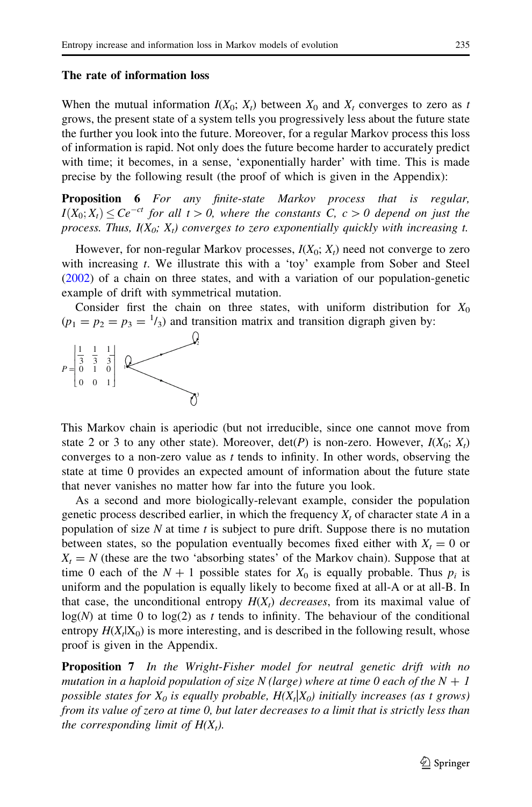## The rate of information loss

When the mutual information  $I(X_0; X_t)$  between  $X_0$  and  $X_t$  converges to zero as t grows, the present state of a system tells you progressively less about the future state the further you look into the future. Moreover, for a regular Markov process this loss of information is rapid. Not only does the future become harder to accurately predict with time; it becomes, in a sense, 'exponentially harder' with time. This is made precise by the following result (the proof of which is given in the Appendix):

**Proposition 6** For any finite-state Markov process that is regular,  $I(X_0; X_t) \leq Ce^{-ct}$  for all  $t>0$ , where the constants C,  $c>0$  depend on just the process. Thus,  $I(X_0; X_t)$  converges to zero exponentially quickly with increasing t.

However, for non-regular Markov processes,  $I(X_0; X_t)$  need not converge to zero with increasing t. We illustrate this with a 'toy' example from Sober and Steel [\(2002](#page-27-0)) of a chain on three states, and with a variation of our population-genetic example of drift with symmetrical mutation.

Consider first the chain on three states, with uniform distribution for  $X_0$  $(p_1 = p_2 = p_3 = \frac{1}{3})$  and transition matrix and transition digraph given by:



This Markov chain is aperiodic (but not irreducible, since one cannot move from state 2 or 3 to any other state). Moreover,  $det(P)$  is non-zero. However,  $I(X_0; X_t)$ converges to a non-zero value as  $t$  tends to infinity. In other words, observing the state at time 0 provides an expected amount of information about the future state that never vanishes no matter how far into the future you look.

As a second and more biologically-relevant example, consider the population genetic process described earlier, in which the frequency  $X_t$  of character state A in a population of size  $N$  at time  $t$  is subject to pure drift. Suppose there is no mutation between states, so the population eventually becomes fixed either with  $X_t = 0$  or  $X_t = N$  (these are the two 'absorbing states' of the Markov chain). Suppose that at time 0 each of the  $N + 1$  possible states for  $X_0$  is equally probable. Thus  $p_i$  is uniform and the population is equally likely to become fixed at all-A or at all-B. In that case, the unconditional entropy  $H(X_t)$  decreases, from its maximal value of  $log(N)$  at time 0 to  $log(2)$  as t tends to infinity. The behaviour of the conditional entropy  $H(X_t|X_0)$  is more interesting, and is described in the following result, whose proof is given in the Appendix.

**Proposition 7** In the Wright-Fisher model for neutral genetic drift with no mutation in a haploid population of size N (large) where at time 0 each of the  $N + 1$ possible states for  $X_0$  is equally probable,  $H(X_t|X_0)$  initially increases (as t grows) from its value of zero at time 0, but later decreases to a limit that is strictly less than the corresponding limit of  $H(X_t)$ .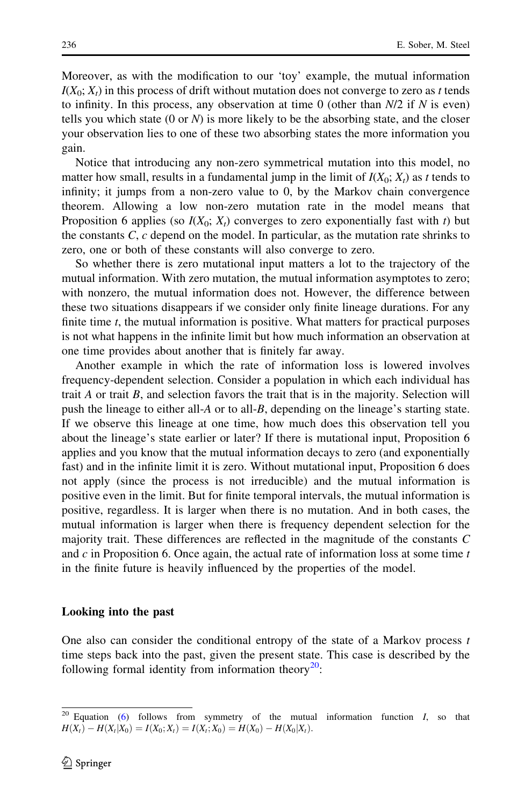Moreover, as with the modification to our 'toy' example, the mutual information  $I(X_0; X_t)$  in this process of drift without mutation does not converge to zero as t tends to infinity. In this process, any observation at time 0 (other than  $N/2$  if N is even) tells you which state (0 or N) is more likely to be the absorbing state, and the closer your observation lies to one of these two absorbing states the more information you gain.

Notice that introducing any non-zero symmetrical mutation into this model, no matter how small, results in a fundamental jump in the limit of  $I(X_0; X_t)$  as t tends to infinity; it jumps from a non-zero value to 0, by the Markov chain convergence theorem. Allowing a low non-zero mutation rate in the model means that Proposition 6 applies (so  $I(X_0; X_t)$  converges to zero exponentially fast with t) but the constants  $C$ , c depend on the model. In particular, as the mutation rate shrinks to zero, one or both of these constants will also converge to zero.

So whether there is zero mutational input matters a lot to the trajectory of the mutual information. With zero mutation, the mutual information asymptotes to zero; with nonzero, the mutual information does not. However, the difference between these two situations disappears if we consider only finite lineage durations. For any finite time  $t$ , the mutual information is positive. What matters for practical purposes is not what happens in the infinite limit but how much information an observation at one time provides about another that is finitely far away.

Another example in which the rate of information loss is lowered involves frequency-dependent selection. Consider a population in which each individual has trait  $A$  or trait  $B$ , and selection favors the trait that is in the majority. Selection will push the lineage to either all-A or to all-B, depending on the lineage's starting state. If we observe this lineage at one time, how much does this observation tell you about the lineage's state earlier or later? If there is mutational input, Proposition 6 applies and you know that the mutual information decays to zero (and exponentially fast) and in the infinite limit it is zero. Without mutational input, Proposition 6 does not apply (since the process is not irreducible) and the mutual information is positive even in the limit. But for finite temporal intervals, the mutual information is positive, regardless. It is larger when there is no mutation. And in both cases, the mutual information is larger when there is frequency dependent selection for the majority trait. These differences are reflected in the magnitude of the constants C and  $c$  in Proposition 6. Once again, the actual rate of information loss at some time  $t$ in the finite future is heavily influenced by the properties of the model.

#### Looking into the past

One also can consider the conditional entropy of the state of a Markov process  $t$ time steps back into the past, given the present state. This case is described by the following formal identity from information theory<sup>20</sup>:

 $20$  Equation (6) follows from symmetry of the mutual information function I, so that  $H(X_t) - H(X_t|X_0) = I(X_0; X_t) = I(X_t; X_0) = H(X_0) - H(X_0|X_t).$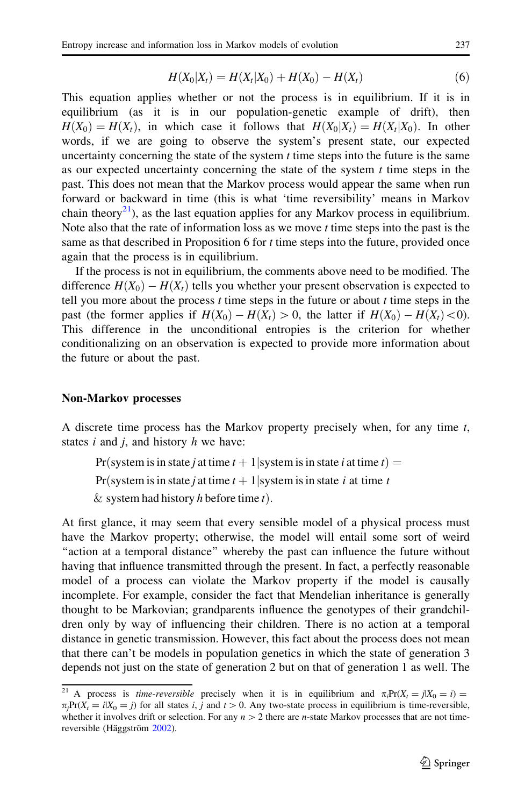$$
H(X_0|X_t) = H(X_t|X_0) + H(X_0) - H(X_t)
$$
\n(6)

<span id="page-14-0"></span>This equation applies whether or not the process is in equilibrium. If it is in equilibrium (as it is in our population-genetic example of drift), then  $H(X_0) = H(X_t)$ , in which case it follows that  $H(X_0|X_t) = H(X_t|X_0)$ . In other words, if we are going to observe the system's present state, our expected uncertainty concerning the state of the system  $t$  time steps into the future is the same as our expected uncertainty concerning the state of the system  $t$  time steps in the past. This does not mean that the Markov process would appear the same when run forward or backward in time (this is what 'time reversibility' means in Markov chain theory<sup>21</sup>), as the last equation applies for any Markov process in equilibrium. Note also that the rate of information loss as we move  $t$  time steps into the past is the same as that described in Proposition 6 for t time steps into the future, provided once again that the process is in equilibrium.

If the process is not in equilibrium, the comments above need to be modified. The difference  $H(X_0) - H(X_t)$  tells you whether your present observation is expected to tell you more about the process  $t$  time steps in the future or about  $t$  time steps in the past (the former applies if  $H(X_0) - H(X_t) > 0$ , the latter if  $H(X_0) - H(X_t) < 0$ ). This difference in the unconditional entropies is the criterion for whether conditionalizing on an observation is expected to provide more information about the future or about the past.

#### Non-Markov processes

A discrete time process has the Markov property precisely when, for any time t, states  $i$  and  $j$ , and history  $h$  we have:

Pr(system is in state j at time  $t + 1$  system is in state i at time  $t =$ 

Pr $(s$ ystem is in state j at time  $t + 1$  system is in state i at time t

& system had history h before time t).

At first glance, it may seem that every sensible model of a physical process must have the Markov property; otherwise, the model will entail some sort of weird ''action at a temporal distance'' whereby the past can influence the future without having that influence transmitted through the present. In fact, a perfectly reasonable model of a process can violate the Markov property if the model is causally incomplete. For example, consider the fact that Mendelian inheritance is generally thought to be Markovian; grandparents influence the genotypes of their grandchildren only by way of influencing their children. There is no action at a temporal distance in genetic transmission. However, this fact about the process does not mean that there can't be models in population genetics in which the state of generation 3 depends not just on the state of generation 2 but on that of generation 1 as well. The

<sup>&</sup>lt;sup>21</sup> A process is *time-reversible* precisely when it is in equilibrium and  $\pi_i Pr(X_t = j | X_0 = i)$  =  $\pi_j Pr(X_t = i | X_0 = j)$  for all states i, j and  $t > 0$ . Any two-state process in equilibrium is time-reversible, whether it involves drift or selection. For any  $n > 2$  there are *n*-state Markov processes that are not time-reversible (Häggström [2002\)](#page-27-0).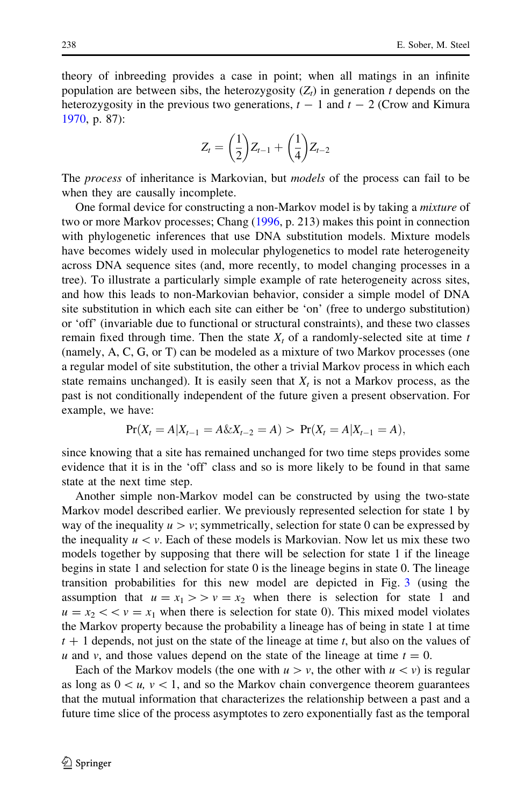theory of inbreeding provides a case in point; when all matings in an infinite population are between sibs, the heterozygosity  $(Z_t)$  in generation t depends on the heterozygosity in the previous two generations,  $t - 1$  and  $t - 2$  (Crow and Kimura [1970,](#page-27-0) p. 87):

$$
Z_t = \left(\frac{1}{2}\right)Z_{t-1} + \left(\frac{1}{4}\right)Z_{t-2}
$$

The *process* of inheritance is Markovian, but *models* of the process can fail to be when they are causally incomplete.

One formal device for constructing a non-Markov model is by taking a mixture of two or more Markov processes; Chang [\(1996](#page-27-0), p. 213) makes this point in connection with phylogenetic inferences that use DNA substitution models. Mixture models have becomes widely used in molecular phylogenetics to model rate heterogeneity across DNA sequence sites (and, more recently, to model changing processes in a tree). To illustrate a particularly simple example of rate heterogeneity across sites, and how this leads to non-Markovian behavior, consider a simple model of DNA site substitution in which each site can either be 'on' (free to undergo substitution) or 'off' (invariable due to functional or structural constraints), and these two classes remain fixed through time. Then the state  $X_t$  of a randomly-selected site at time t (namely, A, C, G, or T) can be modeled as a mixture of two Markov processes (one a regular model of site substitution, the other a trivial Markov process in which each state remains unchanged). It is easily seen that  $X_t$  is not a Markov process, as the past is not conditionally independent of the future given a present observation. For example, we have:

$$
Pr(X_t = A | X_{t-1} = A \& X_{t-2} = A) > Pr(X_t = A | X_{t-1} = A),
$$

since knowing that a site has remained unchanged for two time steps provides some evidence that it is in the 'off' class and so is more likely to be found in that same state at the next time step.

Another simple non-Markov model can be constructed by using the two-state Markov model described earlier. We previously represented selection for state 1 by way of the inequality  $u > v$ ; symmetrically, selection for state 0 can be expressed by the inequality  $u < v$ . Each of these models is Markovian. Now let us mix these two models together by supposing that there will be selection for state 1 if the lineage begins in state 1 and selection for state 0 is the lineage begins in state 0. The lineage transition probabilities for this new model are depicted in Fig. [3](#page-16-0) (using the assumption that  $u = x_1 >> v = x_2$  when there is selection for state 1 and  $u = x_2 \lt v = x_1$  when there is selection for state 0). This mixed model violates the Markov property because the probability a lineage has of being in state 1 at time  $t + 1$  depends, not just on the state of the lineage at time t, but also on the values of u and v, and those values depend on the state of the lineage at time  $t = 0$ .

Each of the Markov models (the one with  $u > v$ , the other with  $u < v$ ) is regular as long as  $0 \lt u$ ,  $v \lt 1$ , and so the Markov chain convergence theorem guarantees that the mutual information that characterizes the relationship between a past and a future time slice of the process asymptotes to zero exponentially fast as the temporal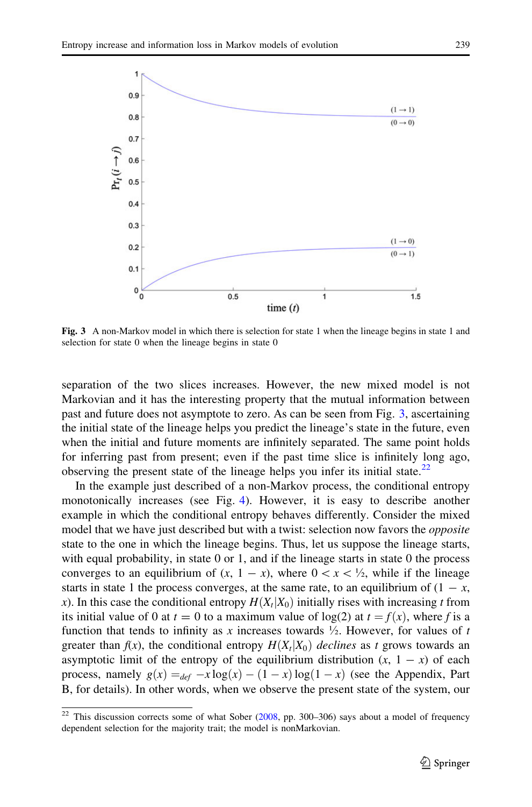<span id="page-16-0"></span>

Fig. 3 A non-Markov model in which there is selection for state 1 when the lineage begins in state 1 and selection for state 0 when the lineage begins in state 0

separation of the two slices increases. However, the new mixed model is not Markovian and it has the interesting property that the mutual information between past and future does not asymptote to zero. As can be seen from Fig. 3, ascertaining the initial state of the lineage helps you predict the lineage's state in the future, even when the initial and future moments are infinitely separated. The same point holds for inferring past from present; even if the past time slice is infinitely long ago, observing the present state of the lineage helps you infer its initial state.<sup>22</sup>

In the example just described of a non-Markov process, the conditional entropy monotonically increases (see Fig. [4\)](#page-17-0). However, it is easy to describe another example in which the conditional entropy behaves differently. Consider the mixed model that we have just described but with a twist: selection now favors the *opposite* state to the one in which the lineage begins. Thus, let us suppose the lineage starts, with equal probability, in state 0 or 1, and if the lineage starts in state 0 the process converges to an equilibrium of  $(x, 1 - x)$ , where  $0 < x < \frac{1}{2}$ , while if the lineage starts in state 1 the process converges, at the same rate, to an equilibrium of  $(1 - x$ , x). In this case the conditional entropy  $H(X_t|X_0)$  initially rises with increasing t from its initial value of 0 at  $t = 0$  to a maximum value of log(2) at  $t = f(x)$ , where f is a function that tends to infinity as x increases towards  $\frac{1}{2}$ . However, for values of t greater than  $f(x)$ , the conditional entropy  $H(X_t|X_0)$  declines as t grows towards an asymptotic limit of the entropy of the equilibrium distribution  $(x, 1 - x)$  of each process, namely  $g(x) =_{def} -x \log(x) - (1 - x) \log(1 - x)$  (see the Appendix, Part B, for details). In other words, when we observe the present state of the system, our

 $\overline{22}$  This discussion corrects some of what Sober ([2008,](#page-27-0) pp. 300–306) says about a model of frequency dependent selection for the majority trait; the model is nonMarkovian.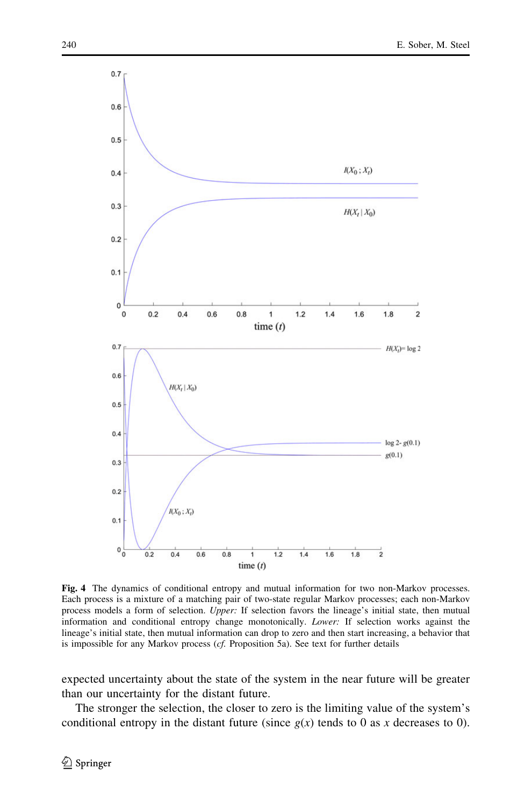<span id="page-17-0"></span>

Fig. 4 The dynamics of conditional entropy and mutual information for two non-Markov processes. Each process is a mixture of a matching pair of two-state regular Markov processes; each non-Markov process models a form of selection. Upper: If selection favors the lineage's initial state, then mutual information and conditional entropy change monotonically. Lower: If selection works against the lineage's initial state, then mutual information can drop to zero and then start increasing, a behavior that is impossible for any Markov process  $(cf.$  Proposition 5a). See text for further details

expected uncertainty about the state of the system in the near future will be greater than our uncertainty for the distant future.

The stronger the selection, the closer to zero is the limiting value of the system's conditional entropy in the distant future (since  $g(x)$  tends to 0 as x decreases to 0).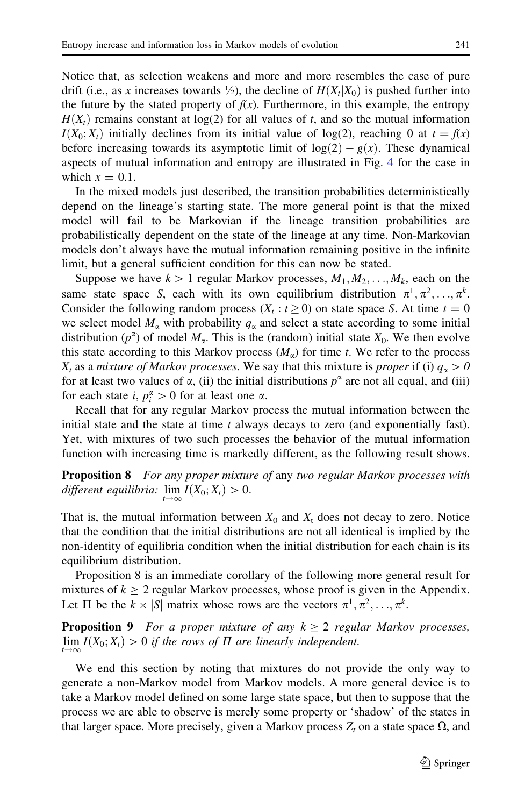Notice that, as selection weakens and more and more resembles the case of pure drift (i.e., as x increases towards  $\frac{1}{2}$ ), the decline of  $H(X_t|X_0)$  is pushed further into the future by the stated property of  $f(x)$ . Furthermore, in this example, the entropy  $H(X_t)$  remains constant at log(2) for all values of t, and so the mutual information  $I(X_0; X_t)$  initially declines from its initial value of log(2), reaching 0 at  $t = f(x)$ before increasing towards its asymptotic limit of  $log(2) - g(x)$ . These dynamical aspects of mutual information and entropy are illustrated in Fig. [4](#page-17-0) for the case in which  $x = 0.1$ .

In the mixed models just described, the transition probabilities deterministically depend on the lineage's starting state. The more general point is that the mixed model will fail to be Markovian if the lineage transition probabilities are probabilistically dependent on the state of the lineage at any time. Non-Markovian models don't always have the mutual information remaining positive in the infinite limit, but a general sufficient condition for this can now be stated.

Suppose we have  $k > 1$  regular Markov processes,  $M_1, M_2, \ldots, M_k$ , each on the same state space S, each with its own equilibrium distribution  $\pi^1, \pi^2, \ldots, \pi^k$ . Consider the following random process  $(X_t : t > 0)$  on state space S. At time  $t = 0$ we select model  $M_{\alpha}$  with probability  $q_{\alpha}$  and select a state according to some initial distribution  $(p^{\alpha})$  of model  $M_{\alpha}$ . This is the (random) initial state  $X_0$ . We then evolve this state according to this Markov process  $(M_\alpha)$  for time t. We refer to the process  $X_t$  as a *mixture of Markov processes*. We say that this mixture is *proper* if (i)  $q_\alpha > 0$ for at least two values of  $\alpha$ , (ii) the initial distributions  $p^{\alpha}$  are not all equal, and (iii) for each state *i*,  $p_i^{\alpha} > 0$  for at least one  $\alpha$ .

Recall that for any regular Markov process the mutual information between the initial state and the state at time  $t$  always decays to zero (and exponentially fast). Yet, with mixtures of two such processes the behavior of the mutual information function with increasing time is markedly different, as the following result shows.

**Proposition 8** For any proper mixture of any two regular Markov processes with different equilibria:  $\lim_{t\to\infty} I(X_0;X_t) > 0.$ 

That is, the mutual information between  $X_0$  and  $X_t$  does not decay to zero. Notice that the condition that the initial distributions are not all identical is implied by the non-identity of equilibria condition when the initial distribution for each chain is its equilibrium distribution.

Proposition 8 is an immediate corollary of the following more general result for mixtures of  $k \geq 2$  regular Markov processes, whose proof is given in the Appendix. Let  $\Pi$  be the  $k \times |S|$  matrix whose rows are the vectors  $\pi^1, \pi^2, \ldots, \pi^k$ .

**Proposition 9** For a proper mixture of any  $k \geq 2$  regular Markov processes,  $\lim_{t\to\infty} I(X_0; X_t) > 0$  if the rows of  $\Pi$  are linearly independent.

We end this section by noting that mixtures do not provide the only way to generate a non-Markov model from Markov models. A more general device is to take a Markov model defined on some large state space, but then to suppose that the process we are able to observe is merely some property or 'shadow' of the states in that larger space. More precisely, given a Markov process  $Z_t$  on a state space  $\Omega$ , and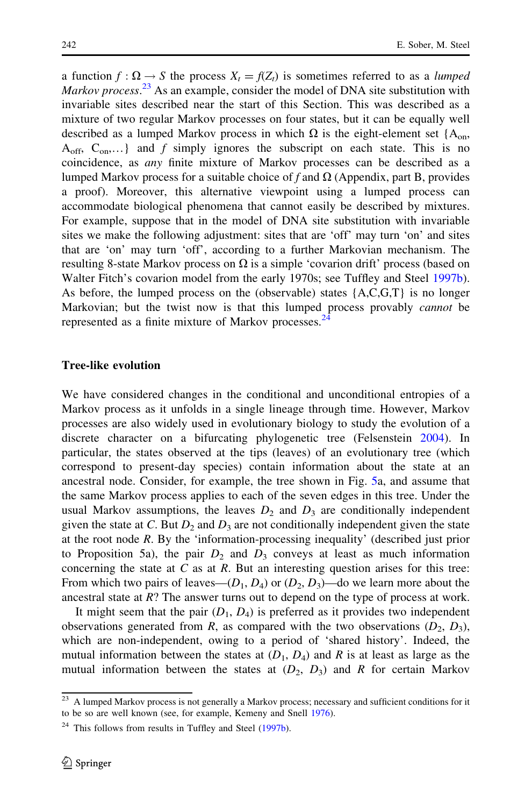<span id="page-19-0"></span>a function  $f : \Omega \to S$  the process  $X_t = f(Z_t)$  is sometimes referred to as a *lumped* Markov process.<sup>23</sup> As an example, consider the model of DNA site substitution with invariable sites described near the start of this Section. This was described as a mixture of two regular Markov processes on four states, but it can be equally well described as a lumped Markov process in which  $\Omega$  is the eight-element set {A<sub>on</sub>,  $A_{\text{off}}$ ,  $C_{\text{on}}$ , and f simply ignores the subscript on each state. This is no coincidence, as any finite mixture of Markov processes can be described as a lumped Markov process for a suitable choice of f and  $\Omega$  (Appendix, part B, provides a proof). Moreover, this alternative viewpoint using a lumped process can accommodate biological phenomena that cannot easily be described by mixtures. For example, suppose that in the model of DNA site substitution with invariable sites we make the following adjustment: sites that are 'off' may turn 'on' and sites that are 'on' may turn 'off', according to a further Markovian mechanism. The resulting 8-state Markov process on  $\Omega$  is a simple 'covarion drift' process (based on Walter Fitch's covarion model from the early 1970s; see Tuffley and Steel [1997b\)](#page-27-0). As before, the lumped process on the (observable) states {A,C,G,T} is no longer Markovian; but the twist now is that this lumped process provably *cannot* be represented as a finite mixture of Markov processes. $^{24}$ 

## Tree-like evolution

We have considered changes in the conditional and unconditional entropies of a Markov process as it unfolds in a single lineage through time. However, Markov processes are also widely used in evolutionary biology to study the evolution of a discrete character on a bifurcating phylogenetic tree (Felsenstein [2004](#page-27-0)). In particular, the states observed at the tips (leaves) of an evolutionary tree (which correspond to present-day species) contain information about the state at an ancestral node. Consider, for example, the tree shown in Fig. [5a](#page-20-0), and assume that the same Markov process applies to each of the seven edges in this tree. Under the usual Markov assumptions, the leaves  $D_2$  and  $D_3$  are conditionally independent given the state at C. But  $D_2$  and  $D_3$  are not conditionally independent given the state at the root node R. By the 'information-processing inequality' (described just prior to Proposition 5a), the pair  $D_2$  and  $D_3$  conveys at least as much information concerning the state at  $C$  as at  $R$ . But an interesting question arises for this tree: From which two pairs of leaves— $(D_1, D_4)$  or  $(D_2, D_3)$ —do we learn more about the ancestral state at R? The answer turns out to depend on the type of process at work.

It might seem that the pair  $(D_1, D_4)$  is preferred as it provides two independent observations generated from R, as compared with the two observations  $(D_2, D_3)$ , which are non-independent, owing to a period of 'shared history'. Indeed, the mutual information between the states at  $(D_1, D_4)$  and R is at least as large as the mutual information between the states at  $(D_2, D_3)$  and R for certain Markov

<sup>&</sup>lt;sup>23</sup> A lumped Markov process is not generally a Markov process; necessary and sufficient conditions for it to be so are well known (see, for example, Kemeny and Snell [1976\)](#page-27-0).

 $24$  This follows from results in Tuffley and Steel [\(1997b](#page-27-0)).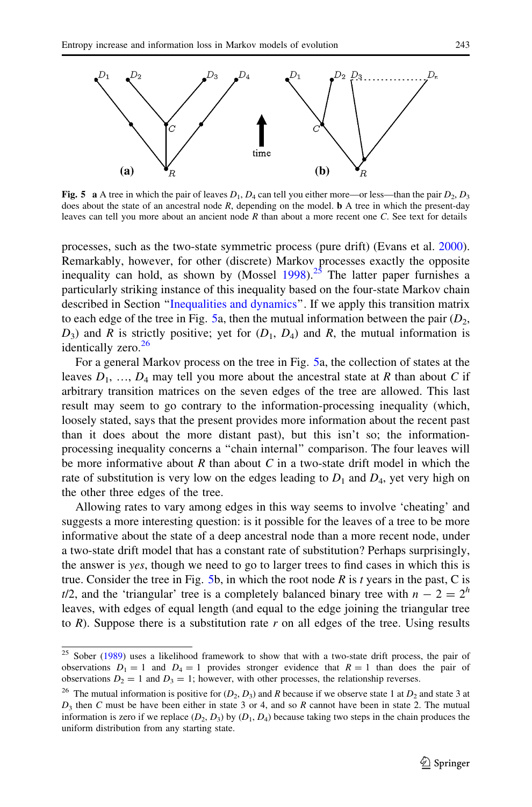<span id="page-20-0"></span>

Fig. 5 a A tree in which the pair of leaves  $D_1$ ,  $D_4$  can tell you either more—or less—than the pair  $D_2$ ,  $D_3$ does about the state of an ancestral node  $R$ , depending on the model. **b** A tree in which the present-day leaves can tell you more about an ancient node  $R$  than about a more recent one  $C$ . See text for details

processes, such as the two-state symmetric process (pure drift) (Evans et al. [2000\)](#page-27-0). Remarkably, however, for other (discrete) Markov processes exactly the opposite inequality can hold, as shown by (Mossel [1998](#page-27-0)).<sup>25</sup> The latter paper furnishes a particularly striking instance of this inequality based on the four-state Markov chain described in Section ''[Inequalities and dynamics'](#page-9-0)'. If we apply this transition matrix to each edge of the tree in Fig. 5a, then the mutual information between the pair  $(D_2,$  $D_3$ ) and R is strictly positive; yet for  $(D_1, D_4)$  and R, the mutual information is identically zero. $26$ 

For a general Markov process on the tree in Fig. 5a, the collection of states at the leaves  $D_1, ..., D_4$  may tell you more about the ancestral state at R than about C if arbitrary transition matrices on the seven edges of the tree are allowed. This last result may seem to go contrary to the information-processing inequality (which, loosely stated, says that the present provides more information about the recent past than it does about the more distant past), but this isn't so; the informationprocessing inequality concerns a ''chain internal'' comparison. The four leaves will be more informative about  $R$  than about  $C$  in a two-state drift model in which the rate of substitution is very low on the edges leading to  $D_1$  and  $D_4$ , yet very high on the other three edges of the tree.

Allowing rates to vary among edges in this way seems to involve 'cheating' and suggests a more interesting question: is it possible for the leaves of a tree to be more informative about the state of a deep ancestral node than a more recent node, under a two-state drift model that has a constant rate of substitution? Perhaps surprisingly, the answer is yes, though we need to go to larger trees to find cases in which this is true. Consider the tree in Fig.  $5b$ , in which the root node  $R$  is  $t$  years in the past, C is t/2, and the 'triangular' tree is a completely balanced binary tree with  $n - 2 = 2<sup>h</sup>$ leaves, with edges of equal length (and equal to the edge joining the triangular tree to  $R$ ). Suppose there is a substitution rate r on all edges of the tree. Using results

<sup>&</sup>lt;sup>25</sup> Sober [\(1989](#page-27-0)) uses a likelihood framework to show that with a two-state drift process, the pair of observations  $D_1 = 1$  and  $D_4 = 1$  provides stronger evidence that  $R = 1$  than does the pair of observations  $D_2 = 1$  and  $D_3 = 1$ ; however, with other processes, the relationship reverses.

<sup>&</sup>lt;sup>26</sup> The mutual information is positive for  $(D_2, D_3)$  and R because if we observe state 1 at  $D_2$  and state 3 at  $D_3$  then C must be have been either in state 3 or 4, and so R cannot have been in state 2. The mutual information is zero if we replace  $(D_2, D_3)$  by  $(D_1, D_4)$  because taking two steps in the chain produces the uniform distribution from any starting state.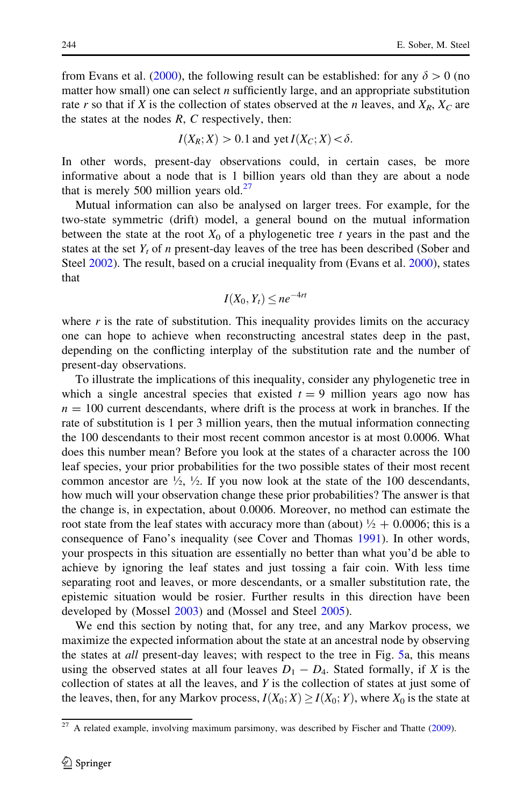from Evans et al. ([2000\)](#page-27-0), the following result can be established: for any  $\delta > 0$  (no matter how small) one can select *n* sufficiently large, and an appropriate substitution rate r so that if X is the collection of states observed at the n leaves, and  $X_R$ ,  $X_C$  are the states at the nodes  $R$ ,  $C$  respectively, then:

$$
I(X_R; X) > 0.1 \text{ and } \text{yet } I(X_C; X) < \delta.
$$

In other words, present-day observations could, in certain cases, be more informative about a node that is 1 billion years old than they are about a node that is merely 500 million years old. $27$ 

Mutual information can also be analysed on larger trees. For example, for the two-state symmetric (drift) model, a general bound on the mutual information between the state at the root  $X_0$  of a phylogenetic tree t years in the past and the states at the set  $Y_t$  of n present-day leaves of the tree has been described (Sober and Steel [2002](#page-27-0)). The result, based on a crucial inequality from (Evans et al. [2000\)](#page-27-0), states that

$$
I(X_0, Y_t) \leq n e^{-4rt}
$$

where  $r$  is the rate of substitution. This inequality provides limits on the accuracy one can hope to achieve when reconstructing ancestral states deep in the past, depending on the conflicting interplay of the substitution rate and the number of present-day observations.

To illustrate the implications of this inequality, consider any phylogenetic tree in which a single ancestral species that existed  $t = 9$  million years ago now has  $n = 100$  current descendants, where drift is the process at work in branches. If the rate of substitution is 1 per 3 million years, then the mutual information connecting the 100 descendants to their most recent common ancestor is at most 0.0006. What does this number mean? Before you look at the states of a character across the 100 leaf species, your prior probabilities for the two possible states of their most recent common ancestor are  $\frac{1}{2}$ ,  $\frac{1}{2}$ . If you now look at the state of the 100 descendants, how much will your observation change these prior probabilities? The answer is that the change is, in expectation, about 0.0006. Moreover, no method can estimate the root state from the leaf states with accuracy more than (about)  $\frac{1}{2} + 0.0006$ ; this is a consequence of Fano's inequality (see Cover and Thomas [1991](#page-27-0)). In other words, your prospects in this situation are essentially no better than what you'd be able to achieve by ignoring the leaf states and just tossing a fair coin. With less time separating root and leaves, or more descendants, or a smaller substitution rate, the epistemic situation would be rosier. Further results in this direction have been developed by (Mossel [2003](#page-27-0)) and (Mossel and Steel [2005](#page-27-0)).

We end this section by noting that, for any tree, and any Markov process, we maximize the expected information about the state at an ancestral node by observing the states at *all* present-day leaves; with respect to the tree in Fig. [5](#page-20-0)a, this means using the observed states at all four leaves  $D_1 - D_4$ . Stated formally, if X is the collection of states at all the leaves, and  $Y$  is the collection of states at just some of the leaves, then, for any Markov process,  $I(X_0; X) \ge I(X_0; Y)$ , where  $X_0$  is the state at

 $27$  A related example, involving maximum parsimony, was described by Fischer and Thatte ([2009\)](#page-27-0).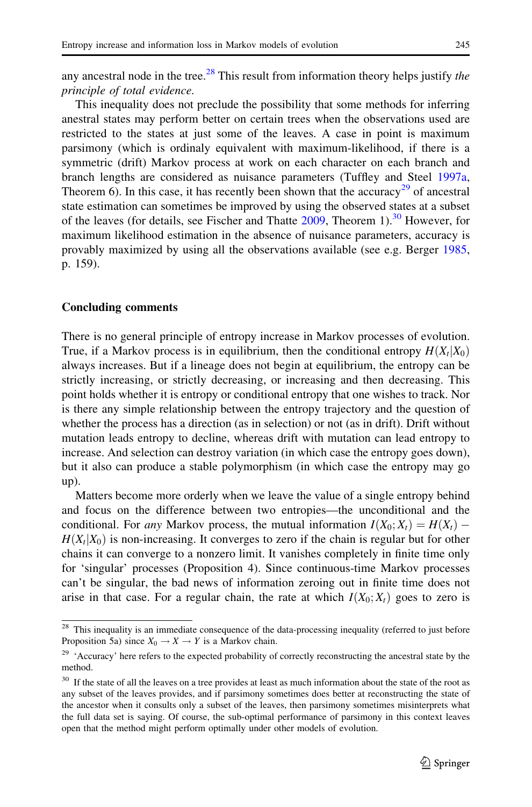any ancestral node in the tree.<sup>28</sup> This result from information theory helps justify *the* principle of total evidence.

This inequality does not preclude the possibility that some methods for inferring anestral states may perform better on certain trees when the observations used are restricted to the states at just some of the leaves. A case in point is maximum parsimony (which is ordinaly equivalent with maximum-likelihood, if there is a symmetric (drift) Markov process at work on each character on each branch and branch lengths are considered as nuisance parameters (Tuffley and Steel [1997a,](#page-27-0) Theorem 6). In this case, it has recently been shown that the accuracy<sup>29</sup> of ancestral state estimation can sometimes be improved by using the observed states at a subset of the leaves (for details, see Fischer and Thatte  $2009$ , Theorem 1).<sup>30</sup> However, for maximum likelihood estimation in the absence of nuisance parameters, accuracy is provably maximized by using all the observations available (see e.g. Berger [1985,](#page-27-0) p. 159).

## Concluding comments

There is no general principle of entropy increase in Markov processes of evolution. True, if a Markov process is in equilibrium, then the conditional entropy  $H(X_t|X_0)$ always increases. But if a lineage does not begin at equilibrium, the entropy can be strictly increasing, or strictly decreasing, or increasing and then decreasing. This point holds whether it is entropy or conditional entropy that one wishes to track. Nor is there any simple relationship between the entropy trajectory and the question of whether the process has a direction (as in selection) or not (as in drift). Drift without mutation leads entropy to decline, whereas drift with mutation can lead entropy to increase. And selection can destroy variation (in which case the entropy goes down), but it also can produce a stable polymorphism (in which case the entropy may go up).

Matters become more orderly when we leave the value of a single entropy behind and focus on the difference between two entropies—the unconditional and the conditional. For any Markov process, the mutual information  $I(X_0; X_t) = H(X_t)$  $H(X_t|X_0)$  is non-increasing. It converges to zero if the chain is regular but for other chains it can converge to a nonzero limit. It vanishes completely in finite time only for 'singular' processes (Proposition 4). Since continuous-time Markov processes can't be singular, the bad news of information zeroing out in finite time does not arise in that case. For a regular chain, the rate at which  $I(X_0; X_t)$  goes to zero is

<sup>&</sup>lt;sup>28</sup> This inequality is an immediate consequence of the data-processing inequality (referred to just before Proposition 5a) since  $X_0 \to X \to Y$  is a Markov chain.

<sup>&</sup>lt;sup>29</sup> 'Accuracy' here refers to the expected probability of correctly reconstructing the ancestral state by the method.

<sup>&</sup>lt;sup>30</sup> If the state of all the leaves on a tree provides at least as much information about the state of the root as any subset of the leaves provides, and if parsimony sometimes does better at reconstructing the state of the ancestor when it consults only a subset of the leaves, then parsimony sometimes misinterprets what the full data set is saying. Of course, the sub-optimal performance of parsimony in this context leaves open that the method might perform optimally under other models of evolution.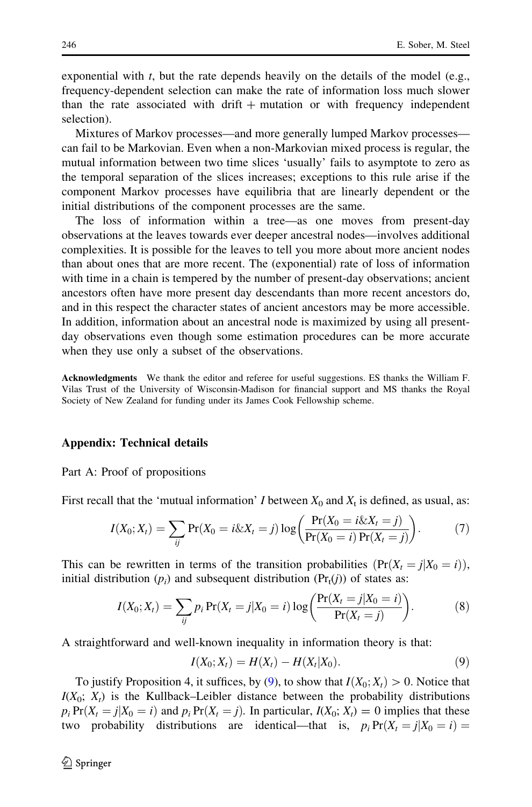<span id="page-23-0"></span>exponential with  $t$ , but the rate depends heavily on the details of the model (e.g., frequency-dependent selection can make the rate of information loss much slower than the rate associated with drift  $+$  mutation or with frequency independent selection).

Mixtures of Markov processes—and more generally lumped Markov processes can fail to be Markovian. Even when a non-Markovian mixed process is regular, the mutual information between two time slices 'usually' fails to asymptote to zero as the temporal separation of the slices increases; exceptions to this rule arise if the component Markov processes have equilibria that are linearly dependent or the initial distributions of the component processes are the same.

The loss of information within a tree—as one moves from present-day observations at the leaves towards ever deeper ancestral nodes—involves additional complexities. It is possible for the leaves to tell you more about more ancient nodes than about ones that are more recent. The (exponential) rate of loss of information with time in a chain is tempered by the number of present-day observations; ancient ancestors often have more present day descendants than more recent ancestors do, and in this respect the character states of ancient ancestors may be more accessible. In addition, information about an ancestral node is maximized by using all presentday observations even though some estimation procedures can be more accurate when they use only a subset of the observations.

Acknowledgments We thank the editor and referee for useful suggestions. ES thanks the William F. Vilas Trust of the University of Wisconsin-Madison for financial support and MS thanks the Royal Society of New Zealand for funding under its James Cook Fellowship scheme.

## Appendix: Technical details

## Part A: Proof of propositions

First recall that the 'mutual information' I between  $X_0$  and  $X_t$  is defined, as usual, as:

$$
I(X_0; X_t) = \sum_{ij} \Pr(X_0 = i \& X_t = j) \log \left( \frac{\Pr(X_0 = i \& X_t = j)}{\Pr(X_0 = i) \Pr(X_t = j)} \right).
$$
 (7)

This can be rewritten in terms of the transition probabilities  $(Pr(X_t = j | X_0 = i))$ , initial distribution  $(p_i)$  and subsequent distribution  $(Pr_t(j))$  of states as:

$$
I(X_0; X_t) = \sum_{ij} p_i \Pr(X_t = j | X_0 = i) \log \left( \frac{\Pr(X_t = j | X_0 = i)}{\Pr(X_t = j)} \right).
$$
 (8)

A straightforward and well-known inequality in information theory is that:

$$
I(X_0; X_t) = H(X_t) - H(X_t|X_0).
$$
\n(9)

To justify Proposition 4, it suffices, by (9), to show that  $I(X_0; X_t) > 0$ . Notice that  $I(X_0; X_t)$  is the Kullback–Leibler distance between the probability distributions  $p_i Pr(X_t = j | X_0 = i)$  and  $p_i Pr(X_t = j)$ . In particular,  $I(X_0; X_t) = 0$  implies that these two probability distributions are identical—that is,  $p_i Pr(X_t = j | X_0 = i) =$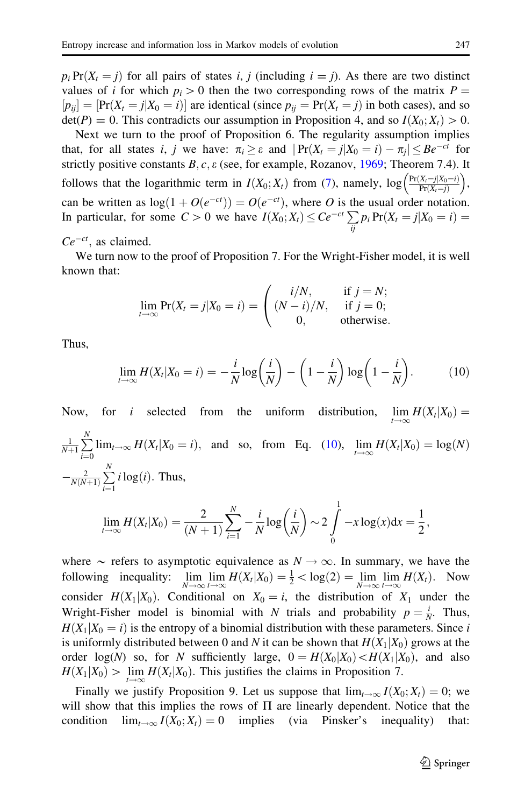$p_i \text{Pr}(X_t = j)$  for all pairs of states i, j (including  $i = j$ ). As there are two distinct values of *i* for which  $p_i > 0$  then the two corresponding rows of the matrix  $P =$  $[p_{ii}] = [\Pr(X_t = j | X_0 = i)]$  are identical (since  $p_{ii} = \Pr(X_t = j)$  in both cases), and so  $\det(P) = 0$ . This contradicts our assumption in Proposition 4, and so  $I(X_0; X_t) > 0$ .

Next we turn to the proof of Proposition 6. The regularity assumption implies that, for all states i, j we have:  $\pi_i \geq \varepsilon$  and  $|\Pr(X_t = j | X_0 = i) - \pi_i| \leq Be^{-ct}$  for strictly positive constants  $B, c, \varepsilon$  (see, for example, Rozanov, [1969;](#page-27-0) Theorem 7.4). It follows that the logarithmic term in  $I(X_0; X_t)$  from ([7\)](#page-23-0), namely,  $\log \left( \frac{Pr(X_t=j|X_0=i)}{Pr(X_t=j)} \right)$ , can be written as  $log(1 + O(e^{-ct})) = O(e^{-ct})$ , where O is the usual order notation. In particular, for some  $C > 0$  we have  $I(X_0; X_t) \le Ce^{-ct} \sum_{ij} p_i Pr(X_t = j | X_0 = i)$ 

 $Ce^{-ct}$ , as claimed.

We turn now to the proof of Proposition 7. For the Wright-Fisher model, it is well known that:

$$
\lim_{t \to \infty} \Pr(X_t = j | X_0 = i) = \begin{cases} i/N, & \text{if } j = N; \\ (N - i)/N, & \text{if } j = 0; \\ 0, & \text{otherwise.} \end{cases}
$$

Thus,

$$
\lim_{t \to \infty} H(X_t | X_0 = i) = -\frac{i}{N} \log \left( \frac{i}{N} \right) - \left( 1 - \frac{i}{N} \right) \log \left( 1 - \frac{i}{N} \right). \tag{10}
$$

Now, for *i* selected from the uniform distribution,  $\lim_{h \to 0} H(X_t|X_0) =$  $\frac{1}{N+1}$  $\stackrel{N}{\leftarrow}$  $\sum_{i=0} \lim_{t \to \infty} H(X_t|X_0 = i)$ , and so, from Eq. (10),  $\lim_{t \to \infty} H(X_t|X_0) = \log(N)$  $-\frac{2}{N(N+1)}$  $\stackrel{N}{\longleftarrow}$  $i=1$  $i \log(i)$ . Thus, - $\overline{1}$ 1

$$
\lim_{t \to \infty} H(X_t | X_0) = \frac{2}{(N+1)} \sum_{i=1}^N -\frac{i}{N} \log \left( \frac{i}{N} \right) \sim 2 \int_{0}^{1} -x \log(x) dx = \frac{1}{2},
$$

where  $\sim$  refers to asymptotic equivalence as  $N \to \infty$ . In summary, we have the following inequality:  $\lim_{t \to \infty} H(X_t | X_0) = \frac{1}{2} < \log(2) = \lim_{N \to \infty} \lim_{t \to \infty} H(X_t)$ . Now consider  $H(X_1|X_0)$ . Conditional on  $X_0 = i$ , the distribution of  $X_1$  under the Wright-Fisher model is binomial with N trials and probability  $p = \frac{i}{N}$ . Thus,  $H(X_1|X_0 = i)$  is the entropy of a binomial distribution with these parameters. Since i is uniformly distributed between 0 and N it can be shown that  $H(X_1|X_0)$  grows at the order log(N) so, for N sufficiently large,  $0 = H(X_0|X_0) < H(X_1|X_0)$ , and also  $H(X_1|X_0) > \lim_{t \to \infty} H(X_t|X_0)$ . This justifies the claims in Proposition 7.

Finally we justify Proposition 9. Let us suppose that  $\lim_{t\to\infty} I(X_0; X_t) = 0$ ; we will show that this implies the rows of  $\Pi$  are linearly dependent. Notice that the condition  $\lim_{t\to\infty} I(X_0; X_t) = 0$  implies (via Pinsker's inequality) that: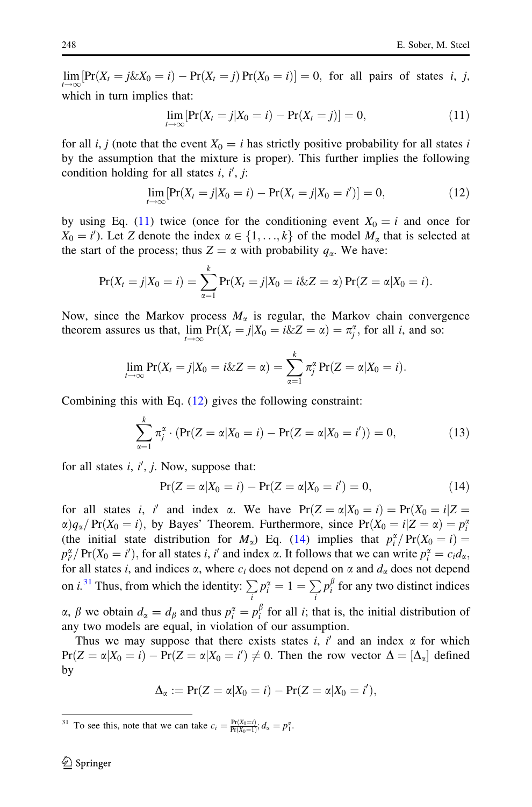<span id="page-25-0"></span> $\lim_{t\to\infty}$   $\left[Pr(X_t = j \& X_0 = i) - Pr(X_t = j) Pr(X_0 = i) \right] = 0$ , for all pairs of states *i*, *j*, which in turn implies that:

$$
\lim_{t \to \infty} [\Pr(X_t = j | X_0 = i) - \Pr(X_t = j)] = 0,
$$
\n(11)

for all *i*, *j* (note that the event  $X_0 = i$  has strictly positive probability for all states *i* by the assumption that the mixture is proper). This further implies the following condition holding for all states  $i$ ,  $i'$ ,  $j$ :

$$
\lim_{t \to \infty} [\Pr(X_t = j | X_0 = i) - \Pr(X_t = j | X_0 = i')] = 0,
$$
\n(12)

by using Eq. (11) twice (once for the conditioning event  $X_0 = i$  and once for  $X_0 = i'$ ). Let Z denote the index  $\alpha \in \{1, ..., k\}$  of the model  $M_{\alpha}$  that is selected at the start of the process; thus  $Z = \alpha$  with probability  $q_{\alpha}$ . We have:

$$
Pr(X_t = j | X_0 = i) = \sum_{\alpha=1}^k Pr(X_t = j | X_0 = i \& Z = \alpha) Pr(Z = \alpha | X_0 = i).
$$

Now, since the Markov process  $M_{\alpha}$  is regular, the Markov chain convergence theorem assures us that,  $\lim_{t \to \infty} Pr(X_t = j | X_0 = i \& Z = \alpha) = \pi_i^{\alpha}$ , for all *i*, and so:

$$
\lim_{t\to\infty}\Pr(X_t=j|X_0=i\&Z=\alpha)=\sum_{\alpha=1}^k\pi_j^{\alpha}\Pr(Z=\alpha|X_0=i).
$$

Combining this with Eq. (12) gives the following constraint:

$$
\sum_{\alpha=1}^{k} \pi_j^{\alpha} \cdot (\Pr(Z = \alpha | X_0 = i) - \Pr(Z = \alpha | X_0 = i')) = 0,
$$
\n(13)

for all states  $i$ ,  $i'$ ,  $j$ . Now, suppose that:

$$
Pr(Z = \alpha | X_0 = i) - Pr(Z = \alpha | X_0 = i') = 0,
$$
\n(14)

for all states *i*, *i'* and index  $\alpha$ . We have  $Pr(Z = \alpha | X_0 = i) = Pr(X_0 = i | Z = i)$  $\alpha$ ) $q_{\alpha}$  Pr(X<sub>0</sub> = *i*), by Bayes' Theorem. Furthermore, since Pr(X<sub>0</sub> = *i*|Z =  $\alpha$ ) =  $p_i^{\alpha}$ (the initial state distribution for  $M_{\alpha}$ ) Eq. (14) implies that  $p_i^{\alpha}/Pr(X_0 = i)$  $p_{i'}^{\alpha}$  Pr( $X_0 = i'$ ), for all states *i*, *i'* and index  $\alpha$ . It follows that we can write  $p_i^{\alpha} = c_i d_{\alpha}$ , for all states i, and indices  $\alpha$ , where  $c_i$  does not depend on  $\alpha$  and  $d_\alpha$  does not depend on *i*.<sup>31</sup> Thus, from which the identity:  $\sum_i p_i^{\alpha} = 1 = \sum_i p_i^{\beta}$  for any two distinct indices  $\alpha$ ,  $\beta$  we obtain  $d_{\alpha} = d_{\beta}$  and thus  $p_i^{\alpha} = p_i^{\beta}$  for all *i*; that is, the initial distribution of any two models are equal, in violation of our assumption.

Thus we may suppose that there exists states  $i$ ,  $i'$  and an index  $\alpha$  for which  $Pr(Z = \alpha | X_0 = i) - Pr(Z = \alpha | X_0 = i') \neq 0$ . Then the row vector  $\Delta = [\Delta_{\alpha}]$  defined by

$$
\Delta_{\alpha}:=\Pr(Z=\alpha|X_0=i)-\Pr(Z=\alpha|X_0=i'),
$$

<sup>&</sup>lt;sup>31</sup> To see this, note that we can take  $c_i = \frac{Pr(X_0=i)}{Pr(X_0=1)}$ ;  $d_\alpha = p_1^\alpha$ .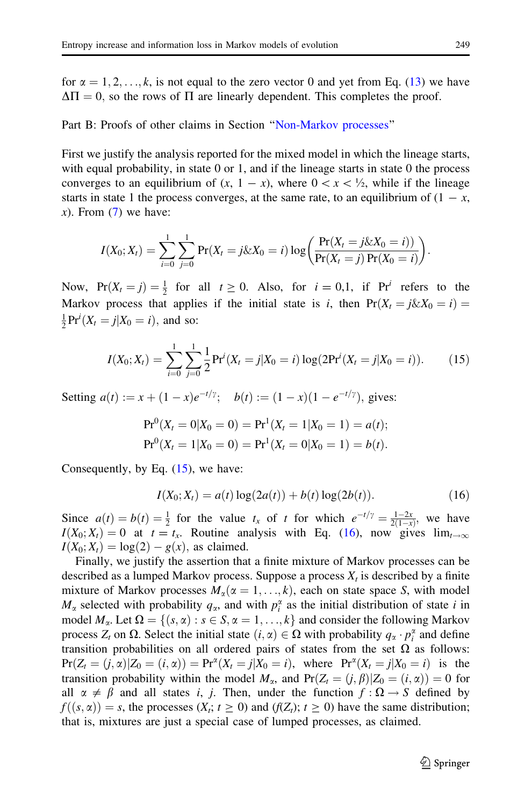for  $\alpha = 1, 2, \ldots, k$ , is not equal to the zero vector 0 and yet from Eq. [\(13](#page-25-0)) we have  $\Delta \Pi = 0$ , so the rows of  $\Pi$  are linearly dependent. This completes the proof.

## Part B: Proofs of other claims in Section "[Non-Markov processes](#page-14-0)"

First we justify the analysis reported for the mixed model in which the lineage starts, with equal probability, in state 0 or 1, and if the lineage starts in state 0 the process converges to an equilibrium of  $(x, 1 - x)$ , where  $0 < x < \frac{1}{2}$ , while if the lineage starts in state 1 the process converges, at the same rate, to an equilibrium of  $(1 - x$ ,  $(x)$ . From  $(7)$  $(7)$  we have:

$$
I(X_0; X_t) = \sum_{i=0}^{1} \sum_{j=0}^{1} \Pr(X_t = j \& X_0 = i) \log \left( \frac{\Pr(X_t = j \& X_0 = i))}{\Pr(X_t = j) \Pr(X_0 = i)} \right).
$$

Now,  $Pr(X_t = j) = \frac{1}{2}$  for all  $t \ge 0$ . Also, for  $i = 0,1$ , if  $Pr^i$  refers to the Markov process that applies if the initial state is i, then  $Pr(X_t = j \& X_0 = i)$  $\frac{1}{2} \Pr^{i}(X_{t} = j | X_{0} = i),$  and so:

$$
I(X_0; X_t) = \sum_{i=0}^{1} \sum_{j=0}^{1} \frac{1}{2} \Pr^i(X_t = j | X_0 = i) \log(2\Pr^i(X_t = j | X_0 = i)). \tag{15}
$$

Setting  $a(t) := x + (1 - x)e^{-t/\gamma}$ ;  $b(t) := (1 - x)(1 - e^{-t/\gamma})$ , gives:

$$
Pr0(Xt = 0|X0 = 0) = Pr1(Xt = 1|X0 = 1) = a(t);
$$
  

$$
Pr0(Xt = 1|X0 = 0) = Pr1(Xt = 0|X0 = 1) = b(t).
$$

Consequently, by Eq.  $(15)$ , we have:

$$
I(X_0; X_t) = a(t) \log(2a(t)) + b(t) \log(2b(t)).
$$
\n(16)

Since  $a(t) = b(t) = \frac{1}{2}$  for the value  $t_x$  of t for which  $e^{-t/\gamma} = \frac{1-2x}{2(1-x)}$ , we have  $I(X_0; X_t) = 0$  at  $t = t_x$ . Routine analysis with Eq. (16), now gives  $\lim_{t\to\infty}$  $I(X_0; X_t) = \log(2) - g(x)$ , as claimed.

Finally, we justify the assertion that a finite mixture of Markov processes can be described as a lumped Markov process. Suppose a process  $X_t$  is described by a finite mixture of Markov processes  $M_\alpha(\alpha = 1, \ldots, k)$ , each on state space S, with model  $M_{\alpha}$  selected with probability  $q_{\alpha}$ , and with  $p_i^{\alpha}$  as the initial distribution of state *i* in model  $M_{\alpha}$ . Let  $\Omega = \{(s, \alpha) : s \in S, \alpha = 1, \ldots, k\}$  and consider the following Markov process  $Z_t$  on  $\Omega$ . Select the initial state  $(i, \alpha) \in \Omega$  with probability  $q_\alpha \cdot p_i^\alpha$  and define transition probabilities on all ordered pairs of states from the set  $\Omega$  as follows:  $Pr(Z_t = (i, \alpha)|Z_0 = (i, \alpha)) = Pr^{\alpha}(X_t = i|X_0 = i)$ , where  $Pr^{\alpha}(X_t = i|X_0 = i)$  is the transition probability within the model  $M_{\alpha}$ , and  $Pr(Z_t = (j, \beta)|Z_0 = (i, \alpha)) = 0$  for all  $\alpha \neq \beta$  and all states i, j. Then, under the function  $f : \Omega \rightarrow S$  defined by  $f((s, \alpha)) = s$ , the processes  $(X_t; t \geq 0)$  and  $(f(Z_t); t \geq 0)$  have the same distribution; that is, mixtures are just a special case of lumped processes, as claimed.